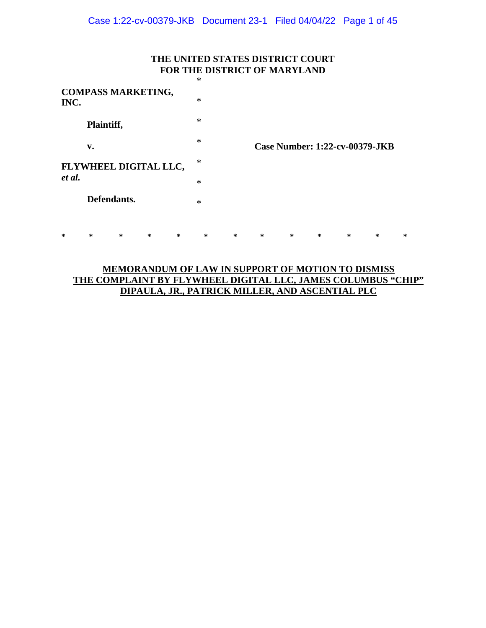# **THE UNITED STATES DISTRICT COURT FOR THE DISTRICT OF MARYLAND**

|                                   | ∗      |                                       |
|-----------------------------------|--------|---------------------------------------|
| <b>COMPASS MARKETING,</b><br>INC. | $\ast$ |                                       |
| Plaintiff,                        | $\ast$ |                                       |
| v.                                | $\ast$ | <b>Case Number: 1:22-cv-00379-JKB</b> |
| FLYWHEEL DIGITAL LLC,             | $\ast$ |                                       |
| et al.                            | $\ast$ |                                       |
| Defendants.                       | $\ast$ |                                       |
|                                   |        |                                       |

**\* \* \* \* \* \* \* \* \* \* \* \* \*** 

# **MEMORANDUM OF LAW IN SUPPORT OF MOTION TO DISMISS THE COMPLAINT BY FLYWHEEL DIGITAL LLC, JAMES COLUMBUS "CHIP" DIPAULA, JR., PATRICK MILLER, AND ASCENTIAL PLC**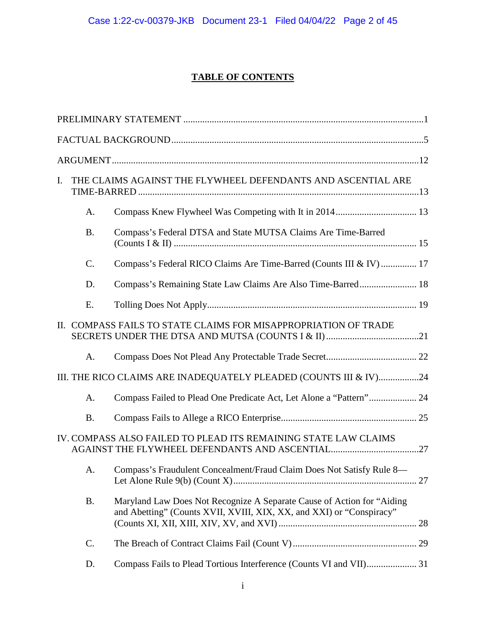# **TABLE OF CONTENTS**

| I. |                 | THE CLAIMS AGAINST THE FLYWHEEL DEFENDANTS AND ASCENTIAL ARE                                                                                   |  |
|----|-----------------|------------------------------------------------------------------------------------------------------------------------------------------------|--|
|    | A.              |                                                                                                                                                |  |
|    | <b>B.</b>       | Compass's Federal DTSA and State MUTSA Claims Are Time-Barred                                                                                  |  |
|    | $\mathcal{C}$ . | Compass's Federal RICO Claims Are Time-Barred (Counts III & IV) 17                                                                             |  |
|    | D.              | Compass's Remaining State Law Claims Are Also Time-Barred 18                                                                                   |  |
|    | E.              |                                                                                                                                                |  |
|    |                 | II. COMPASS FAILS TO STATE CLAIMS FOR MISAPPROPRIATION OF TRADE                                                                                |  |
|    | A.              |                                                                                                                                                |  |
|    |                 | III. THE RICO CLAIMS ARE INADEQUATELY PLEADED (COUNTS III & IV)24                                                                              |  |
|    | A.              | Compass Failed to Plead One Predicate Act, Let Alone a "Pattern" 24                                                                            |  |
|    | <b>B.</b>       |                                                                                                                                                |  |
|    |                 | IV. COMPASS ALSO FAILED TO PLEAD ITS REMAINING STATE LAW CLAIMS                                                                                |  |
|    | A.              | Compass's Fraudulent Concealment/Fraud Claim Does Not Satisfy Rule 8—                                                                          |  |
|    | <b>B.</b>       | Maryland Law Does Not Recognize A Separate Cause of Action for "Aiding<br>and Abetting" (Counts XVII, XVIII, XIX, XX, and XXI) or "Conspiracy" |  |
|    | C.              |                                                                                                                                                |  |
|    | D.              |                                                                                                                                                |  |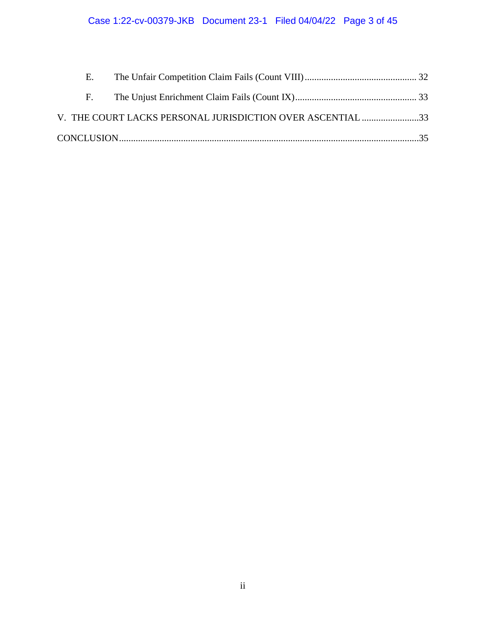| E.             |                                                            |  |
|----------------|------------------------------------------------------------|--|
| $F_{\rm{eff}}$ |                                                            |  |
|                | V. THE COURT LACKS PERSONAL JURISDICTION OVER ASCENTIAL 33 |  |
|                |                                                            |  |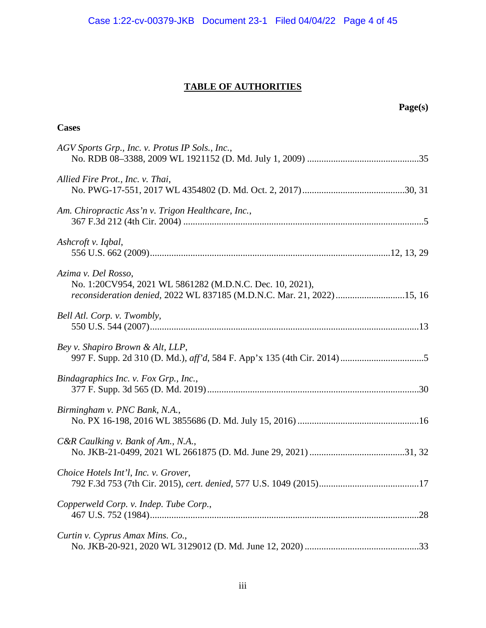# **TABLE OF AUTHORITIES**

**Cases** 

| AGV Sports Grp., Inc. v. Protus IP Sols., Inc.,                                                                                                           |
|-----------------------------------------------------------------------------------------------------------------------------------------------------------|
| Allied Fire Prot., Inc. v. Thai,                                                                                                                          |
| Am. Chiropractic Ass'n v. Trigon Healthcare, Inc.,                                                                                                        |
| Ashcroft v. Iqbal,                                                                                                                                        |
| Azima v. Del Rosso,<br>No. 1:20CV954, 2021 WL 5861282 (M.D.N.C. Dec. 10, 2021),<br>reconsideration denied, 2022 WL 837185 (M.D.N.C. Mar. 21, 2022) 15, 16 |
| Bell Atl. Corp. v. Twombly,                                                                                                                               |
| Bey v. Shapiro Brown & Alt, LLP,                                                                                                                          |
| Bindagraphics Inc. v. Fox Grp., Inc.,                                                                                                                     |
| Birmingham v. PNC Bank, N.A.,                                                                                                                             |
| C&R Caulking v. Bank of Am., N.A.,                                                                                                                        |
| Choice Hotels Int'l, Inc. v. Grover,                                                                                                                      |
| Copperweld Corp. v. Indep. Tube Corp.,<br>.28                                                                                                             |
| Curtin v. Cyprus Amax Mins. Co.,                                                                                                                          |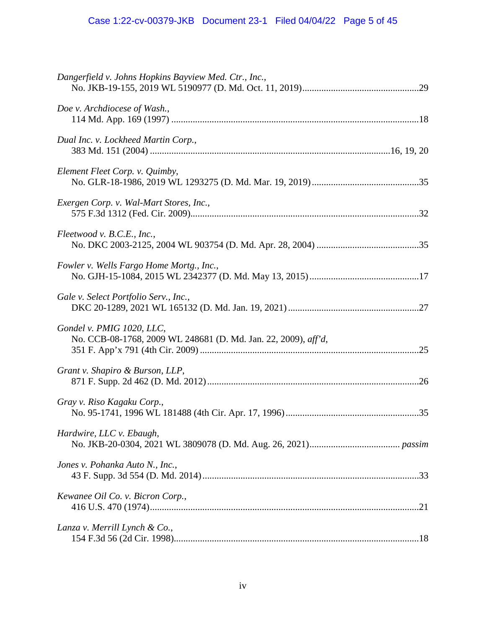| Dangerfield v. Johns Hopkins Bayview Med. Ctr., Inc.,                                       |  |
|---------------------------------------------------------------------------------------------|--|
| Doe v. Archdiocese of Wash.,                                                                |  |
| Dual Inc. v. Lockheed Martin Corp.,                                                         |  |
| Element Fleet Corp. v. Quimby,                                                              |  |
| Exergen Corp. v. Wal-Mart Stores, Inc.,                                                     |  |
| $F$ leetwood v. B.C.E., Inc.,                                                               |  |
| Fowler v. Wells Fargo Home Mortg., Inc.,                                                    |  |
| Gale v. Select Portfolio Serv., Inc.,                                                       |  |
| Gondel v. PMIG 1020, LLC,<br>No. CCB-08-1768, 2009 WL 248681 (D. Md. Jan. 22, 2009), aff'd, |  |
| Grant v. Shapiro & Burson, LLP,                                                             |  |
| Gray v. Riso Kagaku Corp.,                                                                  |  |
| Hardwire, LLC v. Ebaugh,                                                                    |  |
| Jones v. Pohanka Auto N., Inc.,                                                             |  |
| Kewanee Oil Co. v. Bicron Corp.,                                                            |  |
| Lanza v. Merrill Lynch & Co.,                                                               |  |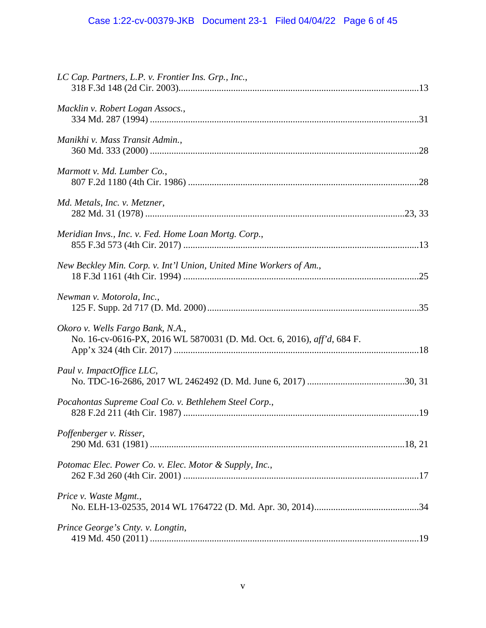| LC Cap. Partners, L.P. v. Frontier Ins. Grp., Inc.,                                                         |
|-------------------------------------------------------------------------------------------------------------|
| Macklin v. Robert Logan Assocs.,                                                                            |
| Manikhi v. Mass Transit Admin.,                                                                             |
| Marmott v. Md. Lumber Co.,                                                                                  |
| Md. Metals, Inc. v. Metzner,                                                                                |
| Meridian Invs., Inc. v. Fed. Home Loan Mortg. Corp.,                                                        |
| New Beckley Min. Corp. v. Int'l Union, United Mine Workers of Am.,                                          |
| Newman v. Motorola, Inc.,                                                                                   |
| Okoro v. Wells Fargo Bank, N.A.,<br>No. 16-cv-0616-PX, 2016 WL 5870031 (D. Md. Oct. 6, 2016), aff'd, 684 F. |
| Paul v. ImpactOffice LLC,                                                                                   |
| Pocahontas Supreme Coal Co. v. Bethlehem Steel Corp.,                                                       |
| Poffenberger v. Risser,                                                                                     |
| Potomac Elec. Power Co. v. Elec. Motor & Supply, Inc.,                                                      |
| Price v. Waste Mgmt.,                                                                                       |
| Prince George's Cnty. v. Longtin,                                                                           |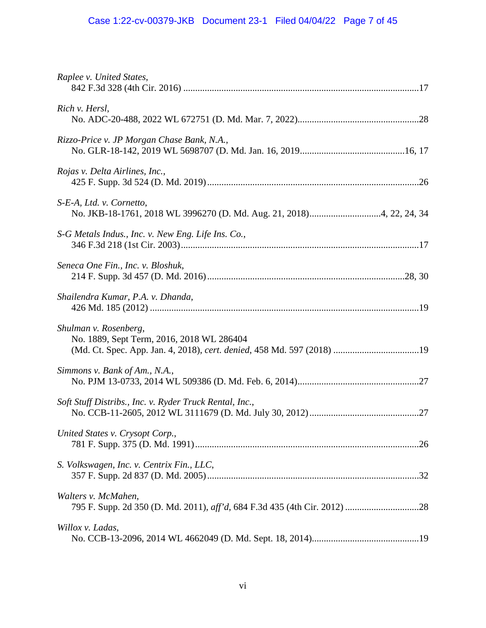| Raplee v. United States,                                                                                                                     |
|----------------------------------------------------------------------------------------------------------------------------------------------|
| Rich v. Hersl,                                                                                                                               |
| Rizzo-Price v. JP Morgan Chase Bank, N.A.,                                                                                                   |
| Rojas v. Delta Airlines, Inc.,                                                                                                               |
| S-E-A, Ltd. v. Cornetto,                                                                                                                     |
| S-G Metals Indus., Inc. v. New Eng. Life Ins. Co.,                                                                                           |
| Seneca One Fin., Inc. v. Bloshuk,                                                                                                            |
| Shailendra Kumar, P.A. v. Dhanda,                                                                                                            |
| Shulman v. Rosenberg,<br>No. 1889, Sept Term, 2016, 2018 WL 286404<br>(Md. Ct. Spec. App. Jan. 4, 2018), cert. denied, 458 Md. 597 (2018) 19 |
| Simmons v. Bank of Am., N.A.,                                                                                                                |
| Soft Stuff Distribs., Inc. v. Ryder Truck Rental, Inc.,                                                                                      |
| United States v. Crysopt Corp.,                                                                                                              |
| S. Volkswagen, Inc. v. Centrix Fin., LLC,                                                                                                    |
| Walters v. McMahen,                                                                                                                          |
| Willox v. Ladas,                                                                                                                             |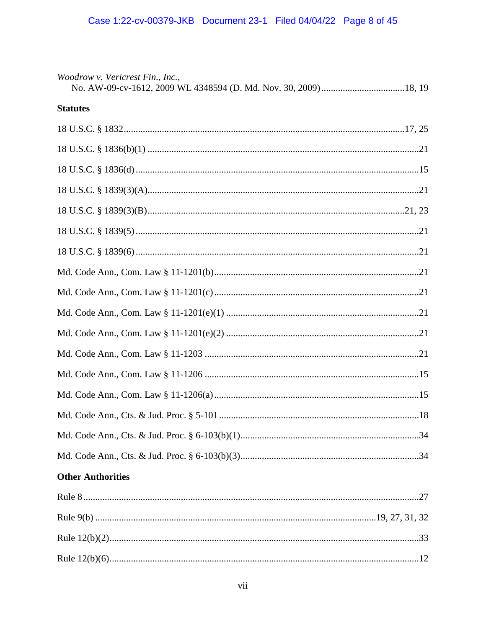| Woodrow v. Vericrest Fin., Inc., |
|----------------------------------|
| <b>Statutes</b>                  |
|                                  |
|                                  |
|                                  |
|                                  |
|                                  |
|                                  |
|                                  |
|                                  |
|                                  |
|                                  |
|                                  |
|                                  |
|                                  |
|                                  |
|                                  |
|                                  |
|                                  |
| <b>Other Authorities</b>         |
|                                  |
|                                  |
|                                  |
|                                  |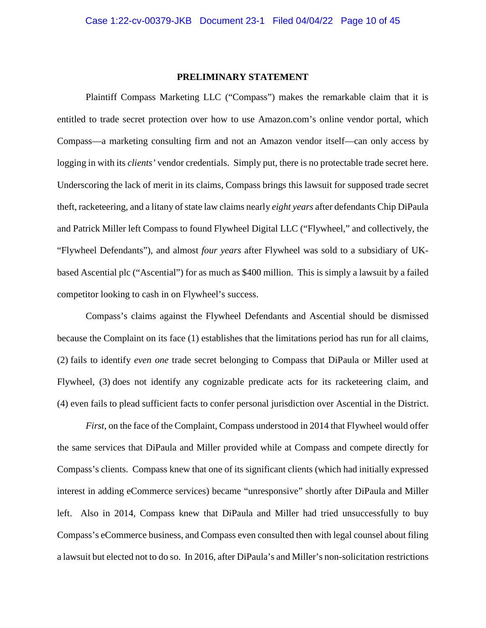#### **PRELIMINARY STATEMENT**

<span id="page-9-0"></span>Plaintiff Compass Marketing LLC ("Compass") makes the remarkable claim that it is entitled to trade secret protection over how to use Amazon.com's online vendor portal, which Compass—a marketing consulting firm and not an Amazon vendor itself—can only access by logging in with its *clients'* vendor credentials. Simply put, there is no protectable trade secret here. Underscoring the lack of merit in its claims, Compass brings this lawsuit for supposed trade secret theft, racketeering, and a litany of state law claims nearly *eight years* after defendants Chip DiPaula and Patrick Miller left Compass to found Flywheel Digital LLC ("Flywheel," and collectively, the "Flywheel Defendants"), and almost *four years* after Flywheel was sold to a subsidiary of UKbased Ascential plc ("Ascential") for as much as \$400 million. This is simply a lawsuit by a failed competitor looking to cash in on Flywheel's success.

Compass's claims against the Flywheel Defendants and Ascential should be dismissed because the Complaint on its face (1) establishes that the limitations period has run for all claims, (2) fails to identify *even one* trade secret belonging to Compass that DiPaula or Miller used at Flywheel, (3) does not identify any cognizable predicate acts for its racketeering claim, and (4) even fails to plead sufficient facts to confer personal jurisdiction over Ascential in the District.

*First*, on the face of the Complaint, Compass understood in 2014 that Flywheel would offer the same services that DiPaula and Miller provided while at Compass and compete directly for Compass's clients. Compass knew that one of its significant clients (which had initially expressed interest in adding eCommerce services) became "unresponsive" shortly after DiPaula and Miller left. Also in 2014, Compass knew that DiPaula and Miller had tried unsuccessfully to buy Compass's eCommerce business, and Compass even consulted then with legal counsel about filing a lawsuit but elected not to do so. In 2016, after DiPaula's and Miller's non-solicitation restrictions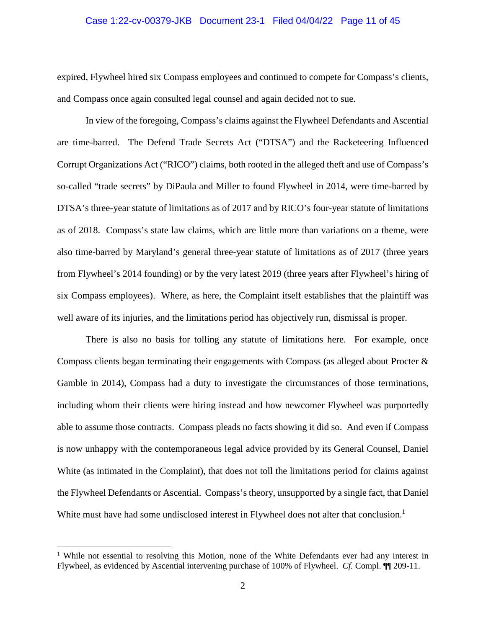#### Case 1:22-cv-00379-JKB Document 23-1 Filed 04/04/22 Page 11 of 45

expired, Flywheel hired six Compass employees and continued to compete for Compass's clients, and Compass once again consulted legal counsel and again decided not to sue.

In view of the foregoing, Compass's claims against the Flywheel Defendants and Ascential are time-barred. The Defend Trade Secrets Act ("DTSA") and the Racketeering Influenced Corrupt Organizations Act ("RICO") claims, both rooted in the alleged theft and use of Compass's so-called "trade secrets" by DiPaula and Miller to found Flywheel in 2014, were time-barred by DTSA's three-year statute of limitations as of 2017 and by RICO's four-year statute of limitations as of 2018. Compass's state law claims, which are little more than variations on a theme, were also time-barred by Maryland's general three-year statute of limitations as of 2017 (three years from Flywheel's 2014 founding) or by the very latest 2019 (three years after Flywheel's hiring of six Compass employees). Where, as here, the Complaint itself establishes that the plaintiff was well aware of its injuries, and the limitations period has objectively run, dismissal is proper.

There is also no basis for tolling any statute of limitations here. For example, once Compass clients began terminating their engagements with Compass (as alleged about Procter & Gamble in 2014), Compass had a duty to investigate the circumstances of those terminations, including whom their clients were hiring instead and how newcomer Flywheel was purportedly able to assume those contracts. Compass pleads no facts showing it did so. And even if Compass is now unhappy with the contemporaneous legal advice provided by its General Counsel, Daniel White (as intimated in the Complaint), that does not toll the limitations period for claims against the Flywheel Defendants or Ascential. Compass's theory, unsupported by a single fact, that Daniel White must have had some undisclosed interest in Flywheel does not alter that conclusion.<sup>1</sup>

<sup>&</sup>lt;sup>1</sup> While not essential to resolving this Motion, none of the White Defendants ever had any interest in Flywheel, as evidenced by Ascential intervening purchase of 100% of Flywheel. *Cf.* Compl. ¶¶ 209-11.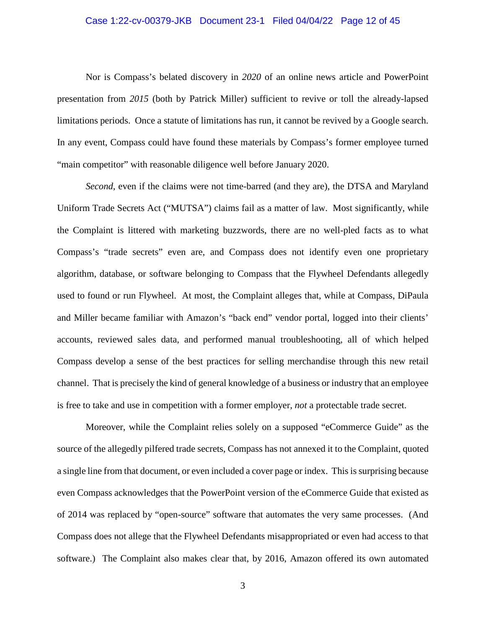#### Case 1:22-cv-00379-JKB Document 23-1 Filed 04/04/22 Page 12 of 45

Nor is Compass's belated discovery in *2020* of an online news article and PowerPoint presentation from *2015* (both by Patrick Miller) sufficient to revive or toll the already-lapsed limitations periods. Once a statute of limitations has run, it cannot be revived by a Google search. In any event, Compass could have found these materials by Compass's former employee turned "main competitor" with reasonable diligence well before January 2020.

*Second*, even if the claims were not time-barred (and they are), the DTSA and Maryland Uniform Trade Secrets Act ("MUTSA") claims fail as a matter of law. Most significantly, while the Complaint is littered with marketing buzzwords, there are no well-pled facts as to what Compass's "trade secrets" even are, and Compass does not identify even one proprietary algorithm, database, or software belonging to Compass that the Flywheel Defendants allegedly used to found or run Flywheel. At most, the Complaint alleges that, while at Compass, DiPaula and Miller became familiar with Amazon's "back end" vendor portal, logged into their clients' accounts, reviewed sales data, and performed manual troubleshooting, all of which helped Compass develop a sense of the best practices for selling merchandise through this new retail channel. That is precisely the kind of general knowledge of a business or industry that an employee is free to take and use in competition with a former employer, *not* a protectable trade secret.

Moreover, while the Complaint relies solely on a supposed "eCommerce Guide" as the source of the allegedly pilfered trade secrets, Compass has not annexed it to the Complaint, quoted a single line from that document, or even included a cover page or index. This is surprising because even Compass acknowledges that the PowerPoint version of the eCommerce Guide that existed as of 2014 was replaced by "open-source" software that automates the very same processes. (And Compass does not allege that the Flywheel Defendants misappropriated or even had access to that software.) The Complaint also makes clear that, by 2016, Amazon offered its own automated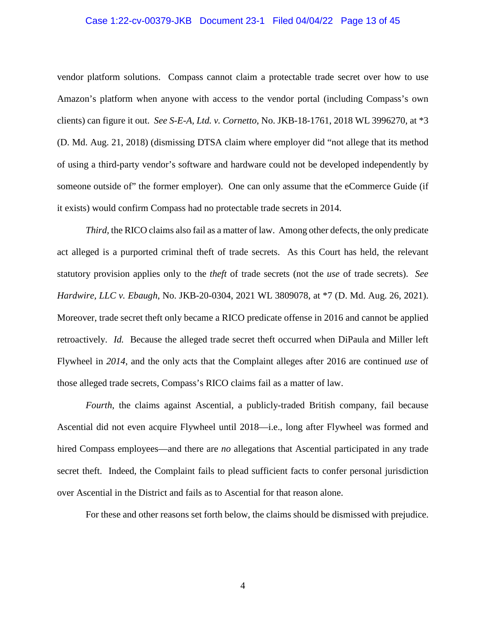#### Case 1:22-cv-00379-JKB Document 23-1 Filed 04/04/22 Page 13 of 45

<span id="page-12-1"></span>vendor platform solutions. Compass cannot claim a protectable trade secret over how to use Amazon's platform when anyone with access to the vendor portal (including Compass's own clients) can figure it out. *See S-E-A, Ltd. v. Cornetto*, No. JKB-18-1761, 2018 WL 3996270, at \*3 (D. Md. Aug. 21, 2018) (dismissing DTSA claim where employer did "not allege that its method of using a third-party vendor's software and hardware could not be developed independently by someone outside of" the former employer). One can only assume that the eCommerce Guide (if it exists) would confirm Compass had no protectable trade secrets in 2014.

<span id="page-12-0"></span>*Third,* the RICO claims also fail as a matter of law. Among other defects, the only predicate act alleged is a purported criminal theft of trade secrets. As this Court has held, the relevant statutory provision applies only to the *theft* of trade secrets (not the *use* of trade secrets). *See Hardwire, LLC v. Ebaugh*, No. JKB-20-0304, 2021 WL 3809078, at \*7 (D. Md. Aug. 26, 2021). Moreover, trade secret theft only became a RICO predicate offense in 2016 and cannot be applied retroactively. *Id.* Because the alleged trade secret theft occurred when DiPaula and Miller left Flywheel in *2014*, and the only acts that the Complaint alleges after 2016 are continued *use* of those alleged trade secrets, Compass's RICO claims fail as a matter of law.

*Fourth*, the claims against Ascential, a publicly-traded British company, fail because Ascential did not even acquire Flywheel until 2018—i.e., long after Flywheel was formed and hired Compass employees—and there are *no* allegations that Ascential participated in any trade secret theft. Indeed, the Complaint fails to plead sufficient facts to confer personal jurisdiction over Ascential in the District and fails as to Ascential for that reason alone.

For these and other reasons set forth below, the claims should be dismissed with prejudice.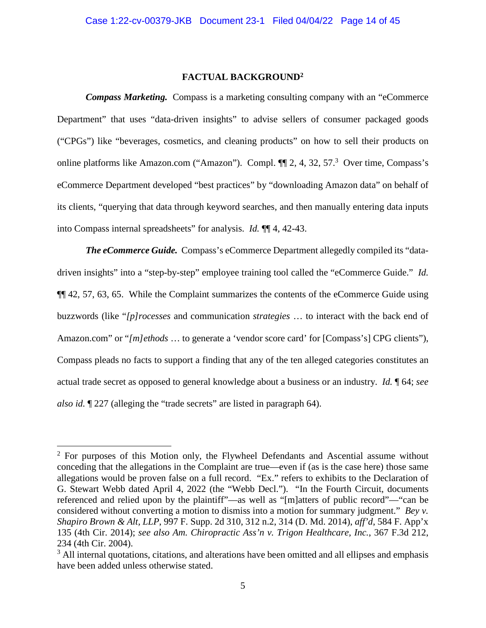#### **FACTUAL BACKGROUND<sup>2</sup>**

<span id="page-13-0"></span>*Compass Marketing.* Compass is a marketing consulting company with an "eCommerce Department" that uses "data-driven insights" to advise sellers of consumer packaged goods ("CPGs") like "beverages, cosmetics, and cleaning products" on how to sell their products on online platforms like Amazon.com ("Amazon"). Compl. ¶ 2, 4, 32, 57.<sup>3</sup> Over time, Compass's eCommerce Department developed "best practices" by "downloading Amazon data" on behalf of its clients, "querying that data through keyword searches, and then manually entering data inputs into Compass internal spreadsheets" for analysis. *Id.* ¶¶ 4, 42-43.

*The eCommerce Guide.* Compass's eCommerce Department allegedly compiled its "datadriven insights" into a "step-by-step" employee training tool called the "eCommerce Guide." *Id.* ¶¶ 42, 57, 63, 65. While the Complaint summarizes the contents of the eCommerce Guide using buzzwords (like "*[p]rocesses* and communication *strategies* … to interact with the back end of Amazon.com" or "[m]ethods ... to generate a 'vendor score card' for [Compass's] CPG clients"), Compass pleads no facts to support a finding that any of the ten alleged categories constitutes an actual trade secret as opposed to general knowledge about a business or an industry. *Id.* ¶ 64; *see also id.* ¶ 227 (alleging the "trade secrets" are listed in paragraph 64).

 $2^2$  For purposes of this Motion only, the Flywheel Defendants and Ascential assume without conceding that the allegations in the Complaint are true—even if (as is the case here) those same allegations would be proven false on a full record. "Ex." refers to exhibits to the Declaration of G. Stewart Webb dated April 4, 2022 (the "Webb Decl."). "In the Fourth Circuit, documents referenced and relied upon by the plaintiff"—as well as "[m]atters of public record"—"can be considered without converting a motion to dismiss into a motion for summary judgment." *Bey v. Shapiro Brown & Alt, LLP*, 997 F. Supp. 2d 310, 312 n.2, 314 (D. Md. 2014), *aff'd*, 584 F. App'x 135 (4th Cir. 2014); *see also Am. Chiropractic Ass'n v. Trigon Healthcare, Inc.*, 367 F.3d 212, 234 (4th Cir. 2004).

<span id="page-13-2"></span><span id="page-13-1"></span><sup>&</sup>lt;sup>3</sup> All internal quotations, citations, and alterations have been omitted and all ellipses and emphasis have been added unless otherwise stated.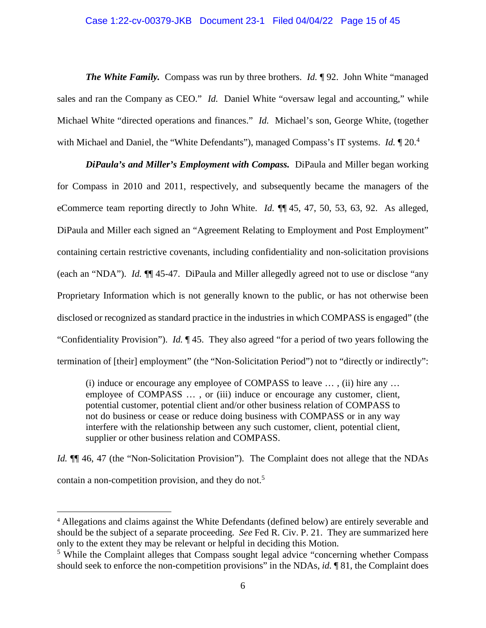### Case 1:22-cv-00379-JKB Document 23-1 Filed 04/04/22 Page 15 of 45

*The White Family.* Compass was run by three brothers. *Id.* ¶ 92. John White "managed sales and ran the Company as CEO." *Id.* Daniel White "oversaw legal and accounting," while Michael White "directed operations and finances." *Id.* Michael's son, George White, (together with Michael and Daniel, the "White Defendants"), managed Compass's IT systems. *Id.* 1 20.<sup>4</sup>

*DiPaula's and Miller's Employment with Compass.* DiPaula and Miller began working for Compass in 2010 and 2011, respectively, and subsequently became the managers of the eCommerce team reporting directly to John White. *Id.* ¶¶ 45, 47, 50, 53, 63, 92. As alleged, DiPaula and Miller each signed an "Agreement Relating to Employment and Post Employment" containing certain restrictive covenants, including confidentiality and non-solicitation provisions (each an "NDA"). *Id.* ¶¶ 45-47. DiPaula and Miller allegedly agreed not to use or disclose "any Proprietary Information which is not generally known to the public, or has not otherwise been disclosed or recognized as standard practice in the industries in which COMPASS is engaged" (the "Confidentiality Provision"). *Id.* ¶ 45. They also agreed "for a period of two years following the termination of [their] employment" (the "Non-Solicitation Period") not to "directly or indirectly":

(i) induce or encourage any employee of COMPASS to leave … , (ii) hire any … employee of COMPASS ..., or (iii) induce or encourage any customer, client, potential customer, potential client and/or other business relation of COMPASS to not do business or cease or reduce doing business with COMPASS or in any way interfere with the relationship between any such customer, client, potential client, supplier or other business relation and COMPASS.

*Id.*  $\P$  46, 47 (the "Non-Solicitation Provision"). The Complaint does not allege that the NDAs contain a non-competition provision, and they do not.<sup>5</sup>

<span id="page-14-0"></span><sup>4</sup> Allegations and claims against the White Defendants (defined below) are entirely severable and should be the subject of a separate proceeding. *See* Fed R. Civ. P. 21. They are summarized here only to the extent they may be relevant or helpful in deciding this Motion.

<sup>&</sup>lt;sup>5</sup> While the Complaint alleges that Compass sought legal advice "concerning whether Compass should seek to enforce the non-competition provisions" in the NDAs, *id.* ¶ 81, the Complaint does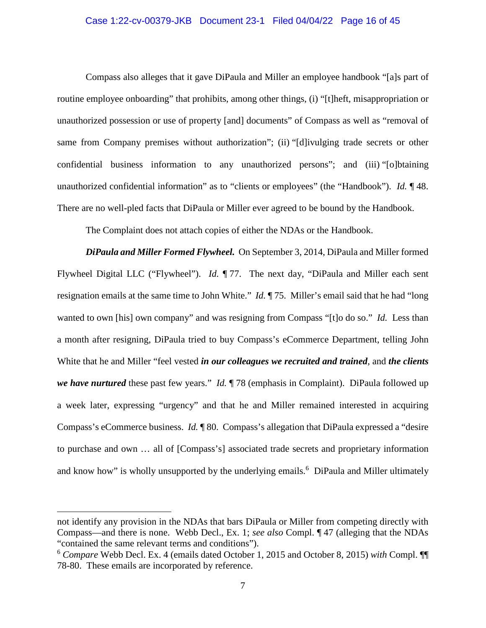### Case 1:22-cv-00379-JKB Document 23-1 Filed 04/04/22 Page 16 of 45

Compass also alleges that it gave DiPaula and Miller an employee handbook "[a]s part of routine employee onboarding" that prohibits, among other things, (i) "[t]heft, misappropriation or unauthorized possession or use of property [and] documents" of Compass as well as "removal of same from Company premises without authorization"; (ii) "[d]ivulging trade secrets or other confidential business information to any unauthorized persons"; and (iii) "[o]btaining unauthorized confidential information" as to "clients or employees" (the "Handbook"). *Id.* ¶ 48. There are no well-pled facts that DiPaula or Miller ever agreed to be bound by the Handbook.

The Complaint does not attach copies of either the NDAs or the Handbook.

*DiPaula and Miller Formed Flywheel.* On September 3, 2014, DiPaula and Miller formed Flywheel Digital LLC ("Flywheel"). *Id.* ¶ 77. The next day, "DiPaula and Miller each sent resignation emails at the same time to John White." *Id.* ¶ 75. Miller's email said that he had "long wanted to own [his] own company" and was resigning from Compass "[t]o do so." *Id.* Less than a month after resigning, DiPaula tried to buy Compass's eCommerce Department, telling John White that he and Miller "feel vested *in our colleagues we recruited and trained*, and *the clients we have nurtured* these past few years." *Id.* ¶ 78 (emphasis in Complaint). DiPaula followed up a week later, expressing "urgency" and that he and Miller remained interested in acquiring Compass's eCommerce business. *Id.* ¶ 80. Compass's allegation that DiPaula expressed a "desire to purchase and own … all of [Compass's] associated trade secrets and proprietary information and know how" is wholly unsupported by the underlying emails.<sup>6</sup> DiPaula and Miller ultimately

not identify any provision in the NDAs that bars DiPaula or Miller from competing directly with Compass—and there is none. Webb Decl., Ex. 1; *see also* Compl. ¶ 47 (alleging that the NDAs "contained the same relevant terms and conditions").

<sup>6</sup> *Compare* Webb Decl. Ex. 4 (emails dated October 1, 2015 and October 8, 2015) *with* Compl. ¶¶ 78-80. These emails are incorporated by reference.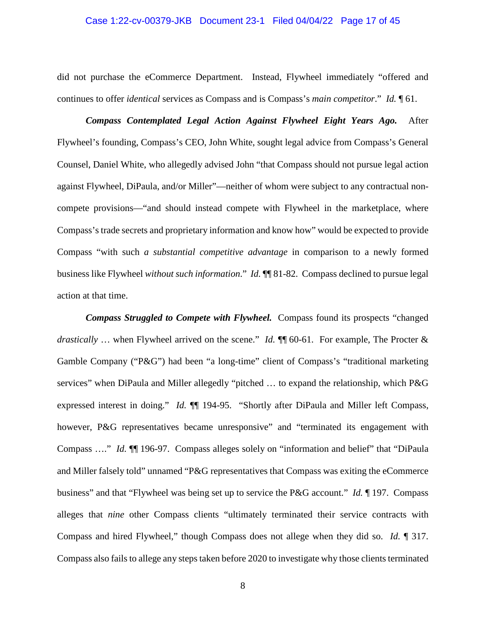#### Case 1:22-cv-00379-JKB Document 23-1 Filed 04/04/22 Page 17 of 45

did not purchase the eCommerce Department. Instead, Flywheel immediately "offered and continues to offer *identical* services as Compass and is Compass's *main competitor*." *Id.* ¶ 61.

*Compass Contemplated Legal Action Against Flywheel Eight Years Ago.* After Flywheel's founding, Compass's CEO, John White, sought legal advice from Compass's General Counsel, Daniel White, who allegedly advised John "that Compass should not pursue legal action against Flywheel, DiPaula, and/or Miller"—neither of whom were subject to any contractual noncompete provisions—"and should instead compete with Flywheel in the marketplace, where Compass's trade secrets and proprietary information and know how" would be expected to provide Compass "with such *a substantial competitive advantage* in comparison to a newly formed business like Flywheel *without such information*." *Id.* ¶¶ 81-82. Compass declined to pursue legal action at that time.

*Compass Struggled to Compete with Flywheel.* Compass found its prospects "changed *drastically* … when Flywheel arrived on the scene." *Id.* ¶¶ 60-61. For example, The Procter & Gamble Company ("P&G") had been "a long-time" client of Compass's "traditional marketing services" when DiPaula and Miller allegedly "pitched ... to expand the relationship, which P&G expressed interest in doing." *Id.*  $\P$  194-95. "Shortly after DiPaula and Miller left Compass, however, P&G representatives became unresponsive" and "terminated its engagement with Compass …." *Id.* ¶¶ 196-97. Compass alleges solely on "information and belief" that "DiPaula and Miller falsely told" unnamed "P&G representatives that Compass was exiting the eCommerce business" and that "Flywheel was being set up to service the P&G account." *Id.* ¶ 197. Compass alleges that *nine* other Compass clients "ultimately terminated their service contracts with Compass and hired Flywheel," though Compass does not allege when they did so. *Id.* ¶ 317. Compass also fails to allege any steps taken before 2020 to investigate why those clients terminated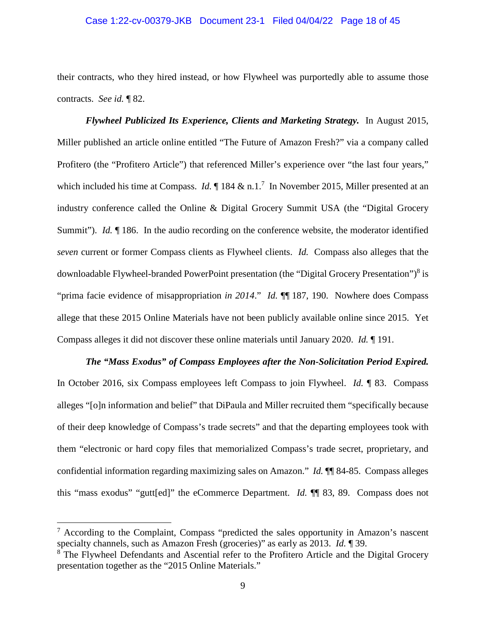#### Case 1:22-cv-00379-JKB Document 23-1 Filed 04/04/22 Page 18 of 45

their contracts, who they hired instead, or how Flywheel was purportedly able to assume those contracts. *See id.* ¶ 82.

*Flywheel Publicized Its Experience, Clients and Marketing Strategy.* In August 2015, Miller published an article online entitled "The Future of Amazon Fresh?" via a company called Profitero (the "Profitero Article") that referenced Miller's experience over "the last four years," which included his time at Compass. *Id.*  $\P$  184 & n.1.<sup>7</sup> In November 2015, Miller presented at an industry conference called the Online & Digital Grocery Summit USA (the "Digital Grocery Summit"). *Id.* ¶ 186. In the audio recording on the conference website, the moderator identified *seven* current or former Compass clients as Flywheel clients. *Id.* Compass also alleges that the downloadable Flywheel-branded PowerPoint presentation (the "Digital Grocery Presentation")<sup>8</sup> is "prima facie evidence of misappropriation *in 2014*." *Id.* ¶¶ 187, 190. Nowhere does Compass allege that these 2015 Online Materials have not been publicly available online since 2015. Yet Compass alleges it did not discover these online materials until January 2020. *Id.* ¶ 191.

*The "Mass Exodus" of Compass Employees after the Non-Solicitation Period Expired.* In October 2016, six Compass employees left Compass to join Flywheel. *Id.* ¶ 83. Compass alleges "[o]n information and belief" that DiPaula and Miller recruited them "specifically because of their deep knowledge of Compass's trade secrets" and that the departing employees took with them "electronic or hard copy files that memorialized Compass's trade secret, proprietary, and confidential information regarding maximizing sales on Amazon." *Id.* ¶¶ 84-85. Compass alleges this "mass exodus" "gutt[ed]" the eCommerce Department. *Id.* ¶¶ 83, 89. Compass does not

<sup>&</sup>lt;sup>7</sup> According to the Complaint, Compass "predicted the sales opportunity in Amazon's nascent specialty channels, such as Amazon Fresh (groceries)" as early as 2013. *Id.* ¶ 39.

<sup>&</sup>lt;sup>8</sup> The Flywheel Defendants and Ascential refer to the Profitero Article and the Digital Grocery presentation together as the "2015 Online Materials."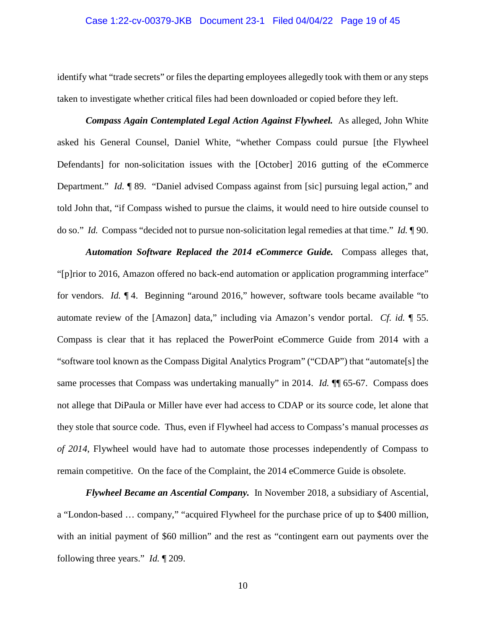### Case 1:22-cv-00379-JKB Document 23-1 Filed 04/04/22 Page 19 of 45

identify what "trade secrets" or files the departing employees allegedly took with them or any steps taken to investigate whether critical files had been downloaded or copied before they left.

*Compass Again Contemplated Legal Action Against Flywheel.* As alleged, John White asked his General Counsel, Daniel White, "whether Compass could pursue [the Flywheel Defendants] for non-solicitation issues with the [October] 2016 gutting of the eCommerce Department." *Id.* ¶ 89. "Daniel advised Compass against from [sic] pursuing legal action," and told John that, "if Compass wished to pursue the claims, it would need to hire outside counsel to do so." *Id.* Compass "decided not to pursue non-solicitation legal remedies at that time." *Id.* ¶ 90.

*Automation Software Replaced the 2014 eCommerce Guide.* Compass alleges that, "[p]rior to 2016, Amazon offered no back-end automation or application programming interface" for vendors. *Id.* ¶ 4. Beginning "around 2016," however, software tools became available "to automate review of the [Amazon] data," including via Amazon's vendor portal. *Cf. id.* ¶ 55. Compass is clear that it has replaced the PowerPoint eCommerce Guide from 2014 with a "software tool known as the Compass Digital Analytics Program" ("CDAP") that "automate[s] the same processes that Compass was undertaking manually" in 2014. *Id.* ¶ 65-67. Compass does not allege that DiPaula or Miller have ever had access to CDAP or its source code, let alone that they stole that source code. Thus, even if Flywheel had access to Compass's manual processes *as of 2014*, Flywheel would have had to automate those processes independently of Compass to remain competitive. On the face of the Complaint, the 2014 eCommerce Guide is obsolete.

*Flywheel Became an Ascential Company.* In November 2018, a subsidiary of Ascential, a "London-based … company," "acquired Flywheel for the purchase price of up to \$400 million, with an initial payment of \$60 million" and the rest as "contingent earn out payments over the following three years." *Id.* ¶ 209.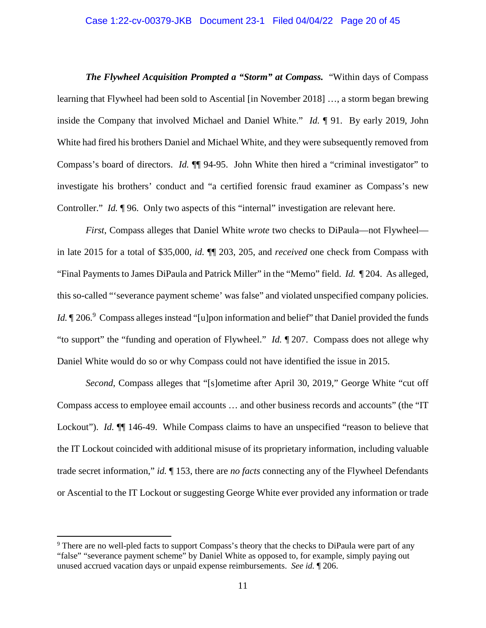*The Flywheel Acquisition Prompted a "Storm" at Compass.* "Within days of Compass learning that Flywheel had been sold to Ascential [in November 2018] …, a storm began brewing inside the Company that involved Michael and Daniel White." *Id.* ¶ 91. By early 2019, John White had fired his brothers Daniel and Michael White, and they were subsequently removed from Compass's board of directors. *Id.* ¶¶ 94-95. John White then hired a "criminal investigator" to investigate his brothers' conduct and "a certified forensic fraud examiner as Compass's new Controller." *Id.* ¶ 96. Only two aspects of this "internal" investigation are relevant here.

*First*, Compass alleges that Daniel White *wrote* two checks to DiPaula—not Flywheel in late 2015 for a total of \$35,000, *id.* ¶¶ 203, 205, and *received* one check from Compass with "Final Payments to James DiPaula and Patrick Miller" in the "Memo" field. *Id.* ¶ 204. As alleged, this so-called "'severance payment scheme' was false" and violated unspecified company policies. *Id.*  $\sim$  206.<sup>9</sup> Compass alleges instead "[u]pon information and belief" that Daniel provided the funds "to support" the "funding and operation of Flywheel." *Id.* ¶ 207. Compass does not allege why Daniel White would do so or why Compass could not have identified the issue in 2015.

*Second*, Compass alleges that "[s]ometime after April 30, 2019," George White "cut off Compass access to employee email accounts … and other business records and accounts" (the "IT Lockout"). *Id.*  $\P$  146-49. While Compass claims to have an unspecified "reason to believe that the IT Lockout coincided with additional misuse of its proprietary information, including valuable trade secret information," *id.* ¶ 153, there are *no facts* connecting any of the Flywheel Defendants or Ascential to the IT Lockout or suggesting George White ever provided any information or trade

<sup>&</sup>lt;sup>9</sup> There are no well-pled facts to support Compass's theory that the checks to DiPaula were part of any "false" "severance payment scheme" by Daniel White as opposed to, for example, simply paying out unused accrued vacation days or unpaid expense reimbursements. *See id.* ¶ 206.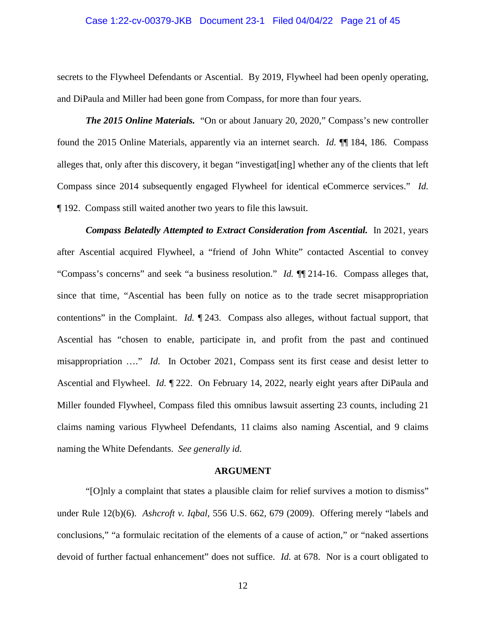#### Case 1:22-cv-00379-JKB Document 23-1 Filed 04/04/22 Page 21 of 45

secrets to the Flywheel Defendants or Ascential. By 2019, Flywheel had been openly operating, and DiPaula and Miller had been gone from Compass, for more than four years.

*The 2015 Online Materials.* "On or about January 20, 2020," Compass's new controller found the 2015 Online Materials, apparently via an internet search. *Id.* ¶¶ 184, 186. Compass alleges that, only after this discovery, it began "investigat[ing] whether any of the clients that left Compass since 2014 subsequently engaged Flywheel for identical eCommerce services." *Id.* ¶ 192. Compass still waited another two years to file this lawsuit.

*Compass Belatedly Attempted to Extract Consideration from Ascential.* In 2021, years after Ascential acquired Flywheel, a "friend of John White" contacted Ascential to convey "Compass's concerns" and seek "a business resolution." *Id.* ¶¶ 214-16. Compass alleges that, since that time, "Ascential has been fully on notice as to the trade secret misappropriation contentions" in the Complaint. *Id.* ¶ 243. Compass also alleges, without factual support, that Ascential has "chosen to enable, participate in, and profit from the past and continued misappropriation …." *Id.* In October 2021, Compass sent its first cease and desist letter to Ascential and Flywheel. *Id.* ¶ 222. On February 14, 2022, nearly eight years after DiPaula and Miller founded Flywheel, Compass filed this omnibus lawsuit asserting 23 counts, including 21 claims naming various Flywheel Defendants, 11 claims also naming Ascential, and 9 claims naming the White Defendants. *See generally id.*

#### <span id="page-20-1"></span>**ARGUMENT**

<span id="page-20-2"></span><span id="page-20-0"></span>"[O]nly a complaint that states a plausible claim for relief survives a motion to dismiss" under Rule 12(b)(6). *Ashcroft v. Iqbal,* 556 U.S. 662, 679 (2009). Offering merely "labels and conclusions," "a formulaic recitation of the elements of a cause of action," or "naked assertions devoid of further factual enhancement" does not suffice. *Id.* at 678. Nor is a court obligated to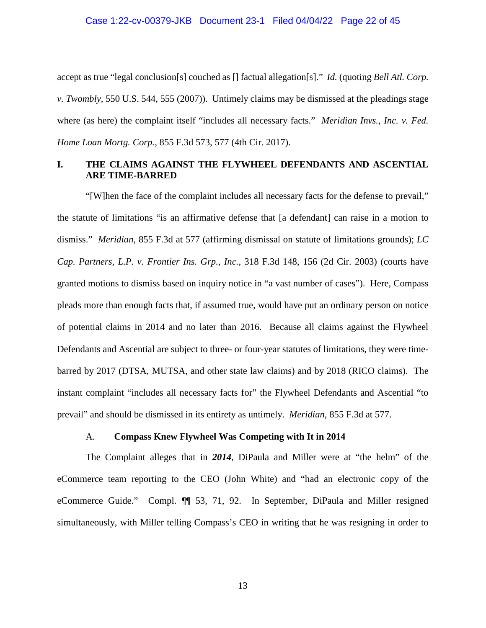<span id="page-21-4"></span><span id="page-21-2"></span>accept as true "legal conclusion[s] couched as [] factual allegation[s]." *Id.* (quoting *Bell Atl. Corp. v. Twombly,* 550 U.S. 544, 555 (2007)). Untimely claims may be dismissed at the pleadings stage where (as here) the complaint itself "includes all necessary facts." *Meridian Invs., Inc. v. Fed. Home Loan Mortg. Corp.*, 855 F.3d 573, 577 (4th Cir. 2017).

### <span id="page-21-0"></span>**I. THE CLAIMS AGAINST THE FLYWHEEL DEFENDANTS AND ASCENTIAL ARE TIME-BARRED**

<span id="page-21-3"></span>"[W]hen the face of the complaint includes all necessary facts for the defense to prevail," the statute of limitations "is an affirmative defense that [a defendant] can raise in a motion to dismiss." *Meridian*, 855 F.3d at 577 (affirming dismissal on statute of limitations grounds); *LC Cap. Partners, L.P. v. Frontier Ins. Grp., Inc.*, 318 F.3d 148, 156 (2d Cir. 2003) (courts have granted motions to dismiss based on inquiry notice in "a vast number of cases"). Here, Compass pleads more than enough facts that, if assumed true, would have put an ordinary person on notice of potential claims in 2014 and no later than 2016. Because all claims against the Flywheel Defendants and Ascential are subject to three- or four-year statutes of limitations, they were timebarred by 2017 (DTSA, MUTSA, and other state law claims) and by 2018 (RICO claims). The instant complaint "includes all necessary facts for" the Flywheel Defendants and Ascential "to prevail" and should be dismissed in its entirety as untimely. *Meridian*, 855 F.3d at 577.

### A. **Compass Knew Flywheel Was Competing with It in 2014**

<span id="page-21-1"></span>The Complaint alleges that in *2014*, DiPaula and Miller were at "the helm" of the eCommerce team reporting to the CEO (John White) and "had an electronic copy of the eCommerce Guide." Compl. ¶¶ 53, 71, 92. In September, DiPaula and Miller resigned simultaneously, with Miller telling Compass's CEO in writing that he was resigning in order to

13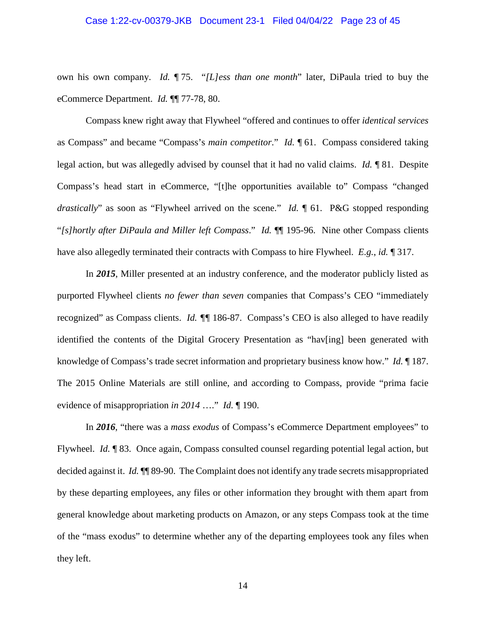#### Case 1:22-cv-00379-JKB Document 23-1 Filed 04/04/22 Page 23 of 45

own his own company. *Id.* ¶ 75. "*[L]ess than one month*" later, DiPaula tried to buy the eCommerce Department. *Id.* ¶¶ 77-78, 80.

Compass knew right away that Flywheel "offered and continues to offer *identical services* as Compass" and became "Compass's *main competitor*." *Id.* ¶ 61. Compass considered taking legal action, but was allegedly advised by counsel that it had no valid claims. *Id.* ¶ 81. Despite Compass's head start in eCommerce, "[t]he opportunities available to" Compass "changed *drastically*" as soon as "Flywheel arrived on the scene." *Id.* 161. P&G stopped responding "*[s]hortly after DiPaula and Miller left Compass*." *Id.* ¶¶ 195-96. Nine other Compass clients have also allegedly terminated their contracts with Compass to hire Flywheel. *E.g.*, *id.* ¶ 317.

In *2015*, Miller presented at an industry conference, and the moderator publicly listed as purported Flywheel clients *no fewer than seven* companies that Compass's CEO "immediately recognized" as Compass clients. *Id. ¶¶* 186-87. Compass's CEO is also alleged to have readily identified the contents of the Digital Grocery Presentation as "hav[ing] been generated with knowledge of Compass's trade secret information and proprietary business know how." *Id.* ¶ 187. The 2015 Online Materials are still online, and according to Compass, provide "prima facie evidence of misappropriation *in 2014* …." *Id.* ¶ 190.

In *2016*, "there was a *mass exodus* of Compass's eCommerce Department employees" to Flywheel. *Id.* ¶ 83. Once again, Compass consulted counsel regarding potential legal action, but decided against it. *Id.* ¶¶ 89-90. The Complaint does not identify any trade secrets misappropriated by these departing employees, any files or other information they brought with them apart from general knowledge about marketing products on Amazon, or any steps Compass took at the time of the "mass exodus" to determine whether any of the departing employees took any files when they left.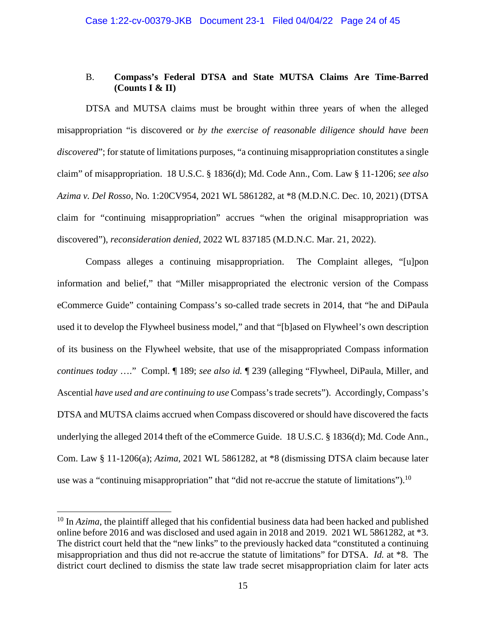### <span id="page-23-3"></span><span id="page-23-2"></span><span id="page-23-0"></span>B. **Compass's Federal DTSA and State MUTSA Claims Are Time-Barred (Counts I & II)**

DTSA and MUTSA claims must be brought within three years of when the alleged misappropriation "is discovered or *by the exercise of reasonable diligence should have been discovered*"; for statute of limitations purposes, "a continuing misappropriation constitutes a single claim" of misappropriation. 18 U.S.C. § 1836(d); Md. Code Ann., Com. Law § 11-1206; *see also Azima v. Del Rosso*, No. 1:20CV954, 2021 WL 5861282, at \*8 (M.D.N.C. Dec. 10, 2021) (DTSA claim for "continuing misappropriation" accrues "when the original misappropriation was discovered"), *reconsideration denied*, 2022 WL 837185 (M.D.N.C. Mar. 21, 2022).

<span id="page-23-1"></span>Compass alleges a continuing misappropriation. The Complaint alleges, "[u]pon information and belief," that "Miller misappropriated the electronic version of the Compass eCommerce Guide" containing Compass's so-called trade secrets in 2014, that "he and DiPaula used it to develop the Flywheel business model," and that "[b]ased on Flywheel's own description of its business on the Flywheel website, that use of the misappropriated Compass information *continues today* …." Compl. ¶ 189; *see also id.* ¶ 239 (alleging "Flywheel, DiPaula, Miller, and Ascential *have used and are continuing to use* Compass's trade secrets"). Accordingly, Compass's DTSA and MUTSA claims accrued when Compass discovered or should have discovered the facts underlying the alleged 2014 theft of the eCommerce Guide. 18 U.S.C. § 1836(d); Md. Code Ann., Com. Law § 11-1206(a); *Azima*, 2021 WL 5861282, at \*8 (dismissing DTSA claim because later use was a "continuing misappropriation" that "did not re-accrue the statute of limitations").<sup>10</sup>

<span id="page-23-4"></span><sup>&</sup>lt;sup>10</sup> In *Azima*, the plaintiff alleged that his confidential business data had been hacked and published online before 2016 and was disclosed and used again in 2018 and 2019. 2021 WL 5861282, at \*3. The district court held that the "new links" to the previously hacked data "constituted a continuing misappropriation and thus did not re-accrue the statute of limitations" for DTSA. *Id.* at \*8. The district court declined to dismiss the state law trade secret misappropriation claim for later acts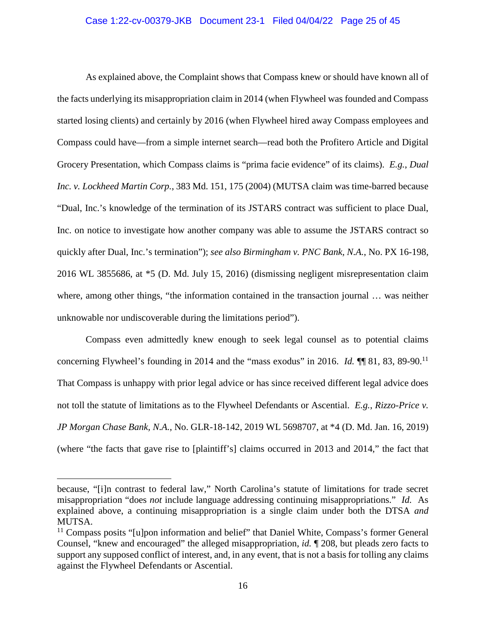<span id="page-24-2"></span>As explained above, the Complaint shows that Compass knew or should have known all of the facts underlying its misappropriation claim in 2014 (when Flywheel was founded and Compass started losing clients) and certainly by 2016 (when Flywheel hired away Compass employees and Compass could have—from a simple internet search—read both the Profitero Article and Digital Grocery Presentation, which Compass claims is "prima facie evidence" of its claims). *E.g.*, *Dual Inc. v. Lockheed Martin Corp.*, 383 Md. 151, 175 (2004) (MUTSA claim was time-barred because "Dual, Inc.'s knowledge of the termination of its JSTARS contract was sufficient to place Dual, Inc. on notice to investigate how another company was able to assume the JSTARS contract so quickly after Dual, Inc.'s termination"); *see also Birmingham v. PNC Bank, N.A.*, No. PX 16-198, 2016 WL 3855686, at \*5 (D. Md. July 15, 2016) (dismissing negligent misrepresentation claim where, among other things, "the information contained in the transaction journal ... was neither unknowable nor undiscoverable during the limitations period").

<span id="page-24-3"></span><span id="page-24-1"></span>Compass even admittedly knew enough to seek legal counsel as to potential claims concerning Flywheel's founding in 2014 and the "mass exodus" in 2016. *Id.* ¶ 81, 83, 89-90.<sup>11</sup> That Compass is unhappy with prior legal advice or has since received different legal advice does not toll the statute of limitations as to the Flywheel Defendants or Ascential. *E.g.*, *Rizzo-Price v. JP Morgan Chase Bank, N.A.*, No. GLR-18-142, 2019 WL 5698707, at \*4 (D. Md. Jan. 16, 2019) (where "the facts that gave rise to [plaintiff's] claims occurred in 2013 and 2014," the fact that

<span id="page-24-0"></span>because, "[i]n contrast to federal law," North Carolina's statute of limitations for trade secret misappropriation "does *not* include language addressing continuing misappropriations." *Id.* As explained above, a continuing misappropriation is a single claim under both the DTSA *and* MUTSA.

 $11$  Compass posits "[u]pon information and belief" that Daniel White, Compass's former General Counsel, "knew and encouraged" the alleged misappropriation, *id.* ¶ 208, but pleads zero facts to support any supposed conflict of interest, and, in any event, that is not a basis for tolling any claims against the Flywheel Defendants or Ascential.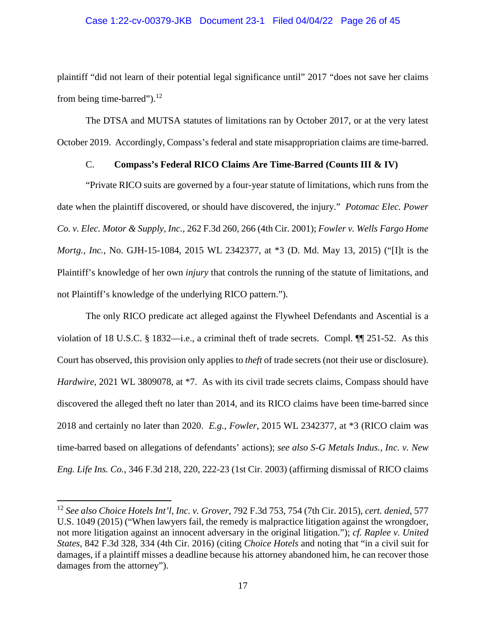#### Case 1:22-cv-00379-JKB Document 23-1 Filed 04/04/22 Page 26 of 45

plaintiff "did not learn of their potential legal significance until" 2017 "does not save her claims from being time-barred"). $^{12}$ 

The DTSA and MUTSA statutes of limitations ran by October 2017, or at the very latest October 2019. Accordingly, Compass's federal and state misappropriation claims are time-barred.

#### <span id="page-25-3"></span><span id="page-25-2"></span>C. **Compass's Federal RICO Claims Are Time-Barred (Counts III & IV)**

<span id="page-25-0"></span>"Private RICO suits are governed by a four-year statute of limitations, which runs from the date when the plaintiff discovered, or should have discovered, the injury." *Potomac Elec. Power Co. v. Elec. Motor & Supply, Inc.*, 262 F.3d 260, 266 (4th Cir. 2001); *Fowler v. Wells Fargo Home Mortg., Inc.*, No. GJH-15-1084, 2015 WL 2342377, at \*3 (D. Md. May 13, 2015) ("[I]t is the Plaintiff's knowledge of her own *injury* that controls the running of the statute of limitations, and not Plaintiff's knowledge of the underlying RICO pattern.").

The only RICO predicate act alleged against the Flywheel Defendants and Ascential is a violation of 18 U.S.C. § 1832—i.e., a criminal theft of trade secrets. Compl. ¶¶ 251-52. As this Court has observed, this provision only applies to *theft* of trade secrets (not their use or disclosure). *Hardwire*, 2021 WL 3809078, at \*7. As with its civil trade secrets claims, Compass should have discovered the alleged theft no later than 2014, and its RICO claims have been time-barred since 2018 and certainly no later than 2020. *E.g.*, *Fowler*, 2015 WL 2342377, at \*3 (RICO claim was time-barred based on allegations of defendants' actions); *see also S-G Metals Indus., Inc. v. New Eng. Life Ins. Co.*, 346 F.3d 218, 220, 222-23 (1st Cir. 2003) (affirming dismissal of RICO claims

<span id="page-25-5"></span><span id="page-25-4"></span><span id="page-25-1"></span><sup>12</sup> *See also Choice Hotels Int'l, Inc. v. Grover*, 792 F.3d 753, 754 (7th Cir. 2015), *cert. denied*, 577 U.S. 1049 (2015) ("When lawyers fail, the remedy is malpractice litigation against the wrongdoer, not more litigation against an innocent adversary in the original litigation."); *cf. Raplee v. United States*, 842 F.3d 328, 334 (4th Cir. 2016) (citing *Choice Hotels* and noting that "in a civil suit for damages, if a plaintiff misses a deadline because his attorney abandoned him, he can recover those damages from the attorney").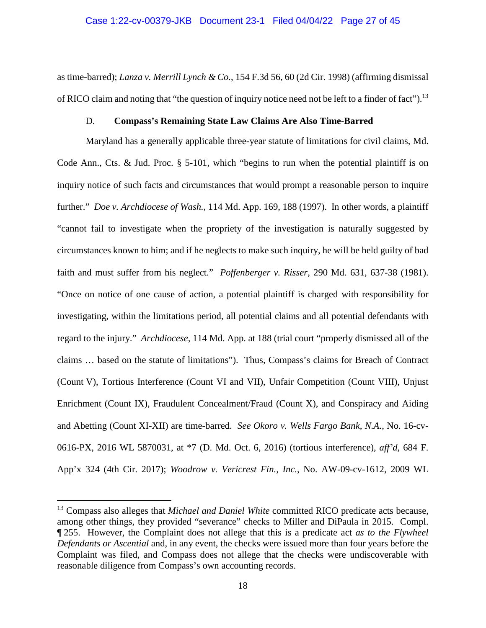as time-barred); *Lanza v. Merrill Lynch & Co.*, 154 F.3d 56, 60 (2d Cir. 1998) (affirming dismissal of RICO claim and noting that "the question of inquiry notice need not be left to a finder of fact").<sup>13</sup>

#### <span id="page-26-6"></span><span id="page-26-4"></span><span id="page-26-2"></span>D. **Compass's Remaining State Law Claims Are Also Time-Barred**

<span id="page-26-1"></span><span id="page-26-0"></span>Maryland has a generally applicable three-year statute of limitations for civil claims, Md. Code Ann., Cts. & Jud. Proc. § 5-101, which "begins to run when the potential plaintiff is on inquiry notice of such facts and circumstances that would prompt a reasonable person to inquire further." *Doe v. Archdiocese of Wash.*, 114 Md. App. 169, 188 (1997). In other words, a plaintiff "cannot fail to investigate when the propriety of the investigation is naturally suggested by circumstances known to him; and if he neglects to make such inquiry, he will be held guilty of bad faith and must suffer from his neglect." *Poffenberger v. Risser*, 290 Md. 631, 637-38 (1981). "Once on notice of one cause of action, a potential plaintiff is charged with responsibility for investigating, within the limitations period, all potential claims and all potential defendants with regard to the injury." *Archdiocese*, 114 Md. App. at 188 (trial court "properly dismissed all of the claims … based on the statute of limitations"). Thus, Compass's claims for Breach of Contract (Count V), Tortious Interference (Count VI and VII), Unfair Competition (Count VIII), Unjust Enrichment (Count IX), Fraudulent Concealment/Fraud (Count X), and Conspiracy and Aiding and Abetting (Count XI-XII) are time-barred. *See Okoro v. Wells Fargo Bank, N.A.*, No. 16-cv-0616-PX, 2016 WL 5870031, at \*7 (D. Md. Oct. 6, 2016) (tortious interference), *aff'd*, 684 F. App'x 324 (4th Cir. 2017); *Woodrow v. Vericrest Fin., Inc.*, No. AW-09-cv-1612, 2009 WL

<span id="page-26-5"></span><span id="page-26-3"></span><sup>&</sup>lt;sup>13</sup> Compass also alleges that *Michael and Daniel White* committed RICO predicate acts because, among other things, they provided "severance" checks to Miller and DiPaula in 2015. Compl. ¶ 255. However, the Complaint does not allege that this is a predicate act *as to the Flywheel Defendants or Ascential* and, in any event, the checks were issued more than four years before the Complaint was filed, and Compass does not allege that the checks were undiscoverable with reasonable diligence from Compass's own accounting records.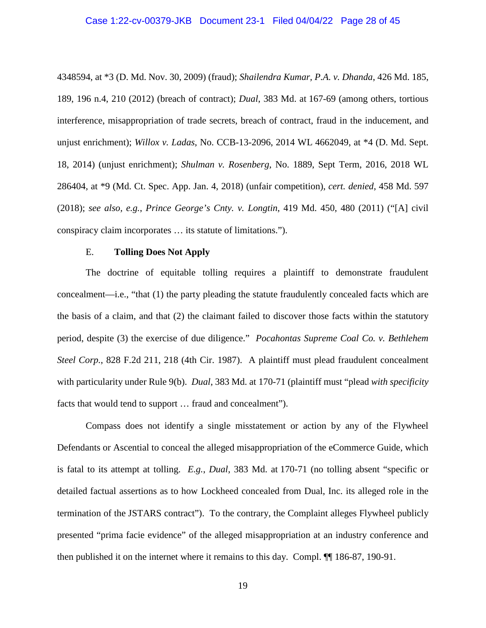#### <span id="page-27-4"></span><span id="page-27-1"></span>Case 1:22-cv-00379-JKB Document 23-1 Filed 04/04/22 Page 28 of 45

<span id="page-27-6"></span>4348594, at \*3 (D. Md. Nov. 30, 2009) (fraud); *Shailendra Kumar, P.A. v. Dhanda*, 426 Md. 185, 189, 196 n.4, 210 (2012) (breach of contract); *Dual*, 383 Md. at 167-69 (among others, tortious interference, misappropriation of trade secrets, breach of contract, fraud in the inducement, and unjust enrichment); *Willox v. Ladas*, No. CCB-13-2096, 2014 WL 4662049, at \*4 (D. Md. Sept. 18, 2014) (unjust enrichment); *Shulman v. Rosenberg*, No. 1889, Sept Term, 2016, 2018 WL 286404, at \*9 (Md. Ct. Spec. App. Jan. 4, 2018) (unfair competition), *cert. denied*, 458 Md. 597 (2018); *see also, e.g.*, *Prince George's Cnty. v. Longtin*, 419 Md. 450, 480 (2011) ("[A] civil conspiracy claim incorporates … its statute of limitations.").

#### <span id="page-27-5"></span><span id="page-27-3"></span><span id="page-27-2"></span>E. **Tolling Does Not Apply**

<span id="page-27-0"></span>The doctrine of equitable tolling requires a plaintiff to demonstrate fraudulent concealment—i.e., "that (1) the party pleading the statute fraudulently concealed facts which are the basis of a claim, and that (2) the claimant failed to discover those facts within the statutory period, despite (3) the exercise of due diligence." *Pocahontas Supreme Coal Co. v. Bethlehem Steel Corp.*, 828 F.2d 211, 218 (4th Cir. 1987). A plaintiff must plead fraudulent concealment with particularity under Rule 9(b). *Dual*, 383 Md. at 170-71 (plaintiff must "plead *with specificity* facts that would tend to support … fraud and concealment").

<span id="page-27-7"></span>Compass does not identify a single misstatement or action by any of the Flywheel Defendants or Ascential to conceal the alleged misappropriation of the eCommerce Guide, which is fatal to its attempt at tolling. *E.g.*, *Dual*, 383 Md. at 170-71 (no tolling absent "specific or detailed factual assertions as to how Lockheed concealed from Dual, Inc. its alleged role in the termination of the JSTARS contract"). To the contrary, the Complaint alleges Flywheel publicly presented "prima facie evidence" of the alleged misappropriation at an industry conference and then published it on the internet where it remains to this day. Compl. ¶¶ 186-87, 190-91.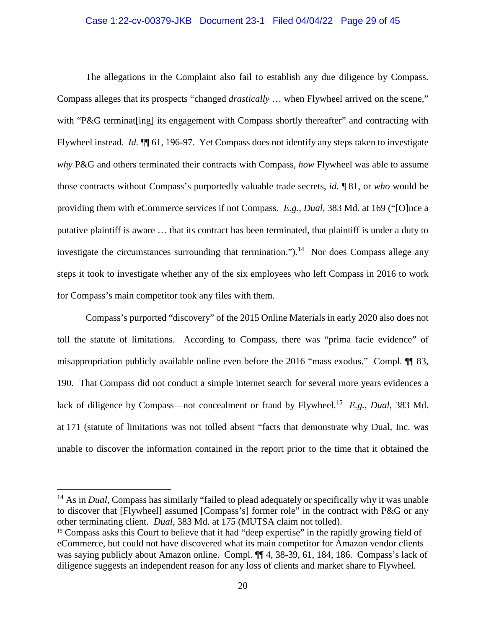### Case 1:22-cv-00379-JKB Document 23-1 Filed 04/04/22 Page 29 of 45

The allegations in the Complaint also fail to establish any due diligence by Compass. Compass alleges that its prospects "changed *drastically* … when Flywheel arrived on the scene," with "P&G terminat [ing] its engagement with Compass shortly thereafter" and contracting with Flywheel instead. *Id.* ¶¶ 61, 196-97. Yet Compass does not identify any steps taken to investigate *why* P&G and others terminated their contracts with Compass, *how* Flywheel was able to assume those contracts without Compass's purportedly valuable trade secrets, *id.* ¶ 81, or *who* would be providing them with eCommerce services if not Compass. *E.g.*, *Dual*, 383 Md. at 169 ("[O]nce a putative plaintiff is aware … that its contract has been terminated, that plaintiff is under a duty to investigate the circumstances surrounding that termination.").<sup>14</sup> Nor does Compass allege any steps it took to investigate whether any of the six employees who left Compass in 2016 to work for Compass's main competitor took any files with them.

<span id="page-28-0"></span>Compass's purported "discovery" of the 2015 Online Materials in early 2020 also does not toll the statute of limitations. According to Compass, there was "prima facie evidence" of misappropriation publicly available online even before the 2016 "mass exodus." Compl. ¶¶ 83, 190. That Compass did not conduct a simple internet search for several more years evidences a lack of diligence by Compass—not concealment or fraud by Flywheel.<sup>15</sup> E.g., Dual, 383 Md. at 171 (statute of limitations was not tolled absent "facts that demonstrate why Dual, Inc. was unable to discover the information contained in the report prior to the time that it obtained the

<sup>&</sup>lt;sup>14</sup> As in *Dual*, Compass has similarly "failed to plead adequately or specifically why it was unable to discover that [Flywheel] assumed [Compass's] former role" in the contract with P&G or any other terminating client. *Dual*, 383 Md. at 175 (MUTSA claim not tolled).

<sup>&</sup>lt;sup>15</sup> Compass asks this Court to believe that it had "deep expertise" in the rapidly growing field of eCommerce, but could not have discovered what its main competitor for Amazon vendor clients was saying publicly about Amazon online. Compl. ¶¶ 4, 38-39, 61, 184, 186. Compass's lack of diligence suggests an independent reason for any loss of clients and market share to Flywheel.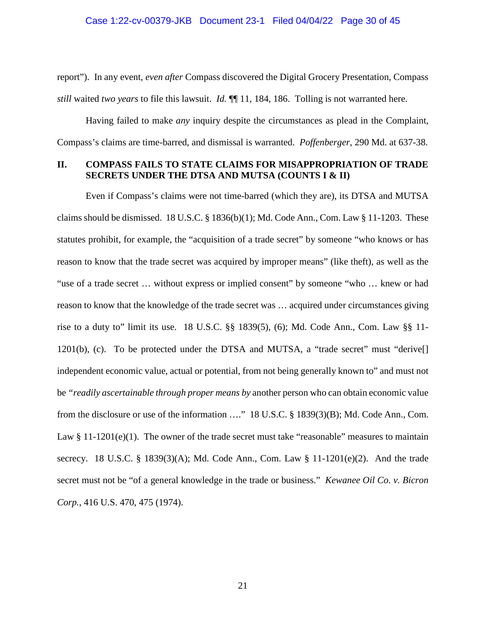report"). In any event, *even after* Compass discovered the Digital Grocery Presentation, Compass *still* waited *two years* to file this lawsuit. *Id.* ¶¶ 11, 184, 186. Tolling is not warranted here.

<span id="page-29-2"></span>Having failed to make *any* inquiry despite the circumstances as plead in the Complaint, Compass's claims are time-barred, and dismissal is warranted. *Poffenberger*, 290 Md. at 637-38.

### <span id="page-29-0"></span>**II. COMPASS FAILS TO STATE CLAIMS FOR MISAPPROPRIATION OF TRADE SECRETS UNDER THE DTSA AND MUTSA (COUNTS I & II)**

<span id="page-29-10"></span><span id="page-29-9"></span><span id="page-29-8"></span><span id="page-29-7"></span><span id="page-29-6"></span><span id="page-29-5"></span><span id="page-29-4"></span><span id="page-29-3"></span><span id="page-29-1"></span>Even if Compass's claims were not time-barred (which they are), its DTSA and MUTSA claims should be dismissed. 18 U.S.C.  $\S 1836(b)(1)$ ; Md. Code Ann., Com. Law  $\S 11-1203$ . These statutes prohibit, for example, the "acquisition of a trade secret" by someone "who knows or has reason to know that the trade secret was acquired by improper means" (like theft), as well as the "use of a trade secret … without express or implied consent" by someone "who … knew or had reason to know that the knowledge of the trade secret was … acquired under circumstances giving rise to a duty to" limit its use. 18 U.S.C. §§ 1839(5), (6); Md. Code Ann., Com. Law §§ 11- 1201(b), (c). To be protected under the DTSA and MUTSA, a "trade secret" must "derive[] independent economic value, actual or potential, from not being generally known to" and must not be *"readily ascertainable through proper means by* another person who can obtain economic value from the disclosure or use of the information …." 18 U.S.C. § 1839(3)(B); Md. Code Ann., Com. Law  $\S 11-1201(e)(1)$ . The owner of the trade secret must take "reasonable" measures to maintain secrecy. 18 U.S.C. § 1839(3)(A); Md. Code Ann., Com. Law § 11-1201(e)(2). And the trade secret must not be "of a general knowledge in the trade or business." *Kewanee Oil Co. v. Bicron Corp.*, 416 U.S. 470, 475 (1974).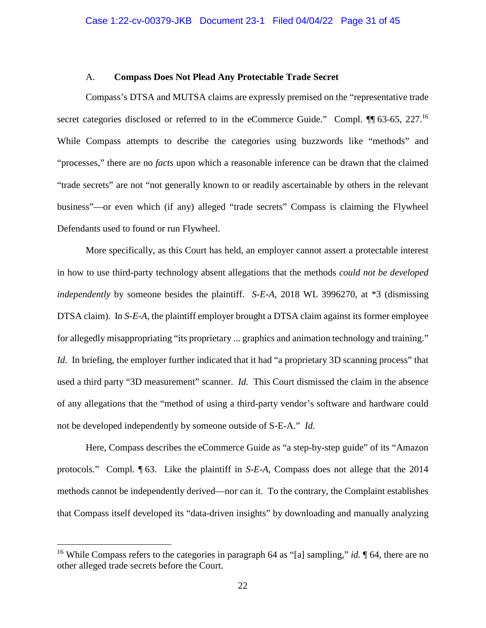#### A. **Compass Does Not Plead Any Protectable Trade Secret**

<span id="page-30-0"></span>Compass's DTSA and MUTSA claims are expressly premised on the "representative trade secret categories disclosed or referred to in the eCommerce Guide." Compl. ¶¶ 63-65, 227.<sup>16</sup> While Compass attempts to describe the categories using buzzwords like "methods" and "processes," there are no *facts* upon which a reasonable inference can be drawn that the claimed "trade secrets" are not "not generally known to or readily ascertainable by others in the relevant business"—or even which (if any) alleged "trade secrets" Compass is claiming the Flywheel Defendants used to found or run Flywheel.

<span id="page-30-1"></span>More specifically, as this Court has held, an employer cannot assert a protectable interest in how to use third-party technology absent allegations that the methods *could not be developed independently* by someone besides the plaintiff. *S-E-A*, 2018 WL 3996270, at \*3 (dismissing DTSA claim). In *S-E-A*, the plaintiff employer brought a DTSA claim against its former employee for allegedly misappropriating "its proprietary ... graphics and animation technology and training." *Id*. In briefing, the employer further indicated that it had "a proprietary 3D scanning process" that used a third party "3D measurement" scanner. *Id.* This Court dismissed the claim in the absence of any allegations that the "method of using a third-party vendor's software and hardware could not be developed independently by someone outside of S-E-A." *Id.*

Here, Compass describes the eCommerce Guide as "a step-by-step guide" of its "Amazon protocols." Compl. ¶ 63. Like the plaintiff in *S-E-A*, Compass does not allege that the 2014 methods cannot be independently derived—nor can it. To the contrary, the Complaint establishes that Compass itself developed its "data-driven insights" by downloading and manually analyzing

<sup>&</sup>lt;sup>16</sup> While Compass refers to the categories in paragraph 64 as "[a] sampling," *id.*  $\P$  64, there are no other alleged trade secrets before the Court.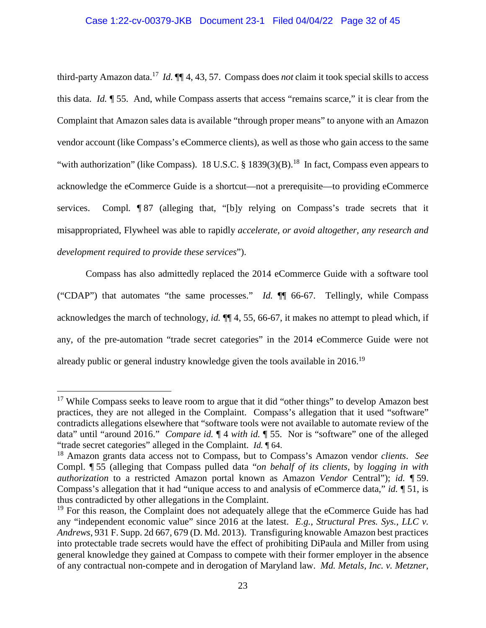<span id="page-31-1"></span>third-party Amazon data.<sup>17</sup> *Id.* ¶¶ 4, 43, 57. Compass does *not* claim it took special skills to access this data. *Id.* ¶ 55. And, while Compass asserts that access "remains scarce," it is clear from the Complaint that Amazon sales data is available "through proper means" to anyone with an Amazon vendor account (like Compass's eCommerce clients), as well as those who gain access to the same "with authorization" (like Compass). 18 U.S.C. § 1839(3)(B).<sup>18</sup> In fact, Compass even appears to acknowledge the eCommerce Guide is a shortcut—not a prerequisite—to providing eCommerce services. Compl*.* ¶ 87 (alleging that, "[b]y relying on Compass's trade secrets that it misappropriated, Flywheel was able to rapidly *accelerate, or avoid altogether, any research and development required to provide these services*").

Compass has also admittedly replaced the 2014 eCommerce Guide with a software tool ("CDAP") that automates "the same processes." *Id.* ¶¶ 66-67. Tellingly, while Compass acknowledges the march of technology, *id.* ¶¶ 4, 55, 66-67, it makes no attempt to plead which, if any, of the pre-automation "trade secret categories" in the 2014 eCommerce Guide were not already public or general industry knowledge given the tools available in 2016.<sup>19</sup>

 $17$  While Compass seeks to leave room to argue that it did "other things" to develop Amazon best practices, they are not alleged in the Complaint. Compass's allegation that it used "software" contradicts allegations elsewhere that "software tools were not available to automate review of the data" until "around 2016." *Compare id.* ¶ 4 *with id.* ¶ 55. Nor is "software" one of the alleged "trade secret categories" alleged in the Complaint. *Id.* ¶ 64.

<sup>18</sup> Amazon grants data access not to Compass, but to Compass's Amazon vendor *clients*. *See* Compl. ¶ 55 (alleging that Compass pulled data "*on behalf of its clients*, by *logging in with authorization* to a restricted Amazon portal known as Amazon *Vendor* Central"); *id.* ¶ 59. Compass's allegation that it had "unique access to and analysis of eCommerce data," *id.* ¶ 51, is thus contradicted by other allegations in the Complaint.

<span id="page-31-0"></span> $19$  For this reason, the Complaint does not adequately allege that the eCommerce Guide has had any "independent economic value" since 2016 at the latest. *E.g.*, *Structural Pres. Sys., LLC v. Andrews*, 931 F. Supp. 2d 667, 679 (D. Md. 2013). Transfiguring knowable Amazon best practices into protectable trade secrets would have the effect of prohibiting DiPaula and Miller from using general knowledge they gained at Compass to compete with their former employer in the absence of any contractual non-compete and in derogation of Maryland law. *Md. Metals, Inc. v. Metzner*,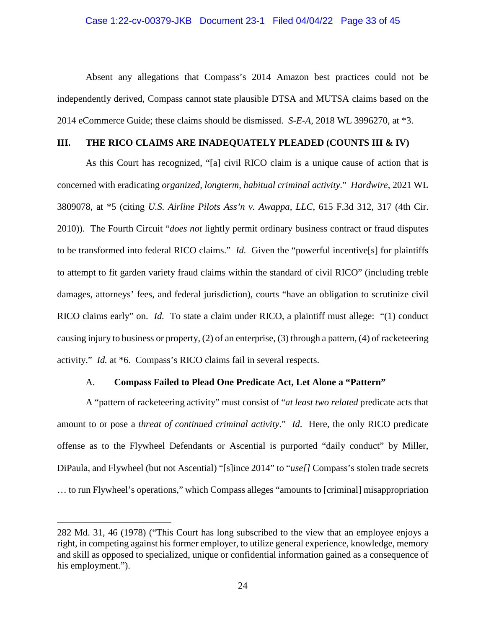#### <span id="page-32-2"></span>Case 1:22-cv-00379-JKB Document 23-1 Filed 04/04/22 Page 33 of 45

Absent any allegations that Compass's 2014 Amazon best practices could not be independently derived, Compass cannot state plausible DTSA and MUTSA claims based on the 2014 eCommerce Guide; these claims should be dismissed. *S-E-A*, 2018 WL 3996270, at \*3.

### <span id="page-32-0"></span>**III. THE RICO CLAIMS ARE INADEQUATELY PLEADED (COUNTS III & IV)**

As this Court has recognized, "[a] civil RICO claim is a unique cause of action that is concerned with eradicating *organized, longterm, habitual criminal activity*." *Hardwire*, 2021 WL 3809078, at \*5 (citing *U.S. Airline Pilots Ass'n v. Awappa, LLC*, 615 F.3d 312, 317 (4th Cir. 2010)). The Fourth Circuit "*does not* lightly permit ordinary business contract or fraud disputes to be transformed into federal RICO claims." *Id.* Given the "powerful incentive[s] for plaintiffs to attempt to fit garden variety fraud claims within the standard of civil RICO" (including treble damages, attorneys' fees, and federal jurisdiction), courts "have an obligation to scrutinize civil RICO claims early" on. *Id.* To state a claim under RICO, a plaintiff must allege: "(1) conduct causing injury to business or property, (2) of an enterprise, (3) through a pattern, (4) of racketeering activity." *Id.* at \*6. Compass's RICO claims fail in several respects.

#### A. **Compass Failed to Plead One Predicate Act, Let Alone a "Pattern"**

<span id="page-32-1"></span>A "pattern of racketeering activity" must consist of "*at least two related* predicate acts that amount to or pose a *threat of continued criminal activity*." *Id*. Here, the only RICO predicate offense as to the Flywheel Defendants or Ascential is purported "daily conduct" by Miller, DiPaula, and Flywheel (but not Ascential) "[s]ince 2014" to "*use[]* Compass's stolen trade secrets … to run Flywheel's operations," which Compass alleges "amounts to [criminal] misappropriation

<sup>282</sup> Md. 31, 46 (1978) ("This Court has long subscribed to the view that an employee enjoys a right, in competing against his former employer, to utilize general experience, knowledge, memory and skill as opposed to specialized, unique or confidential information gained as a consequence of his employment.").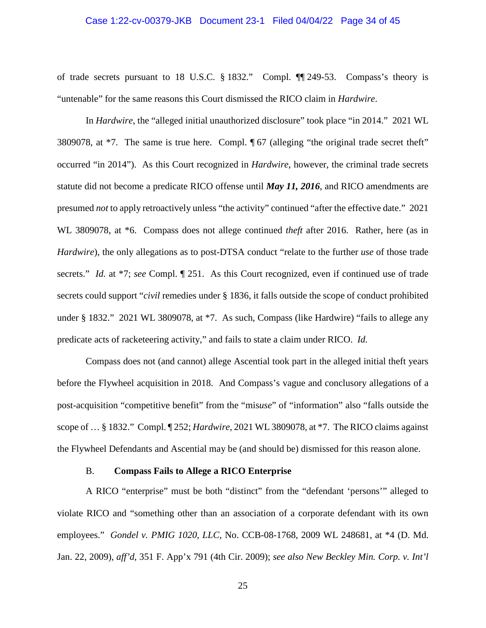#### <span id="page-33-3"></span>Case 1:22-cv-00379-JKB Document 23-1 Filed 04/04/22 Page 34 of 45

of trade secrets pursuant to 18 U.S.C. § 1832." Compl. ¶¶ 249-53. Compass's theory is "untenable" for the same reasons this Court dismissed the RICO claim in *Hardwire*.

In *Hardwire*, the "alleged initial unauthorized disclosure" took place "in 2014." 2021 WL 3809078, at \*7. The same is true here. Compl. ¶ 67 (alleging "the original trade secret theft" occurred "in 2014"). As this Court recognized in *Hardwire*, however, the criminal trade secrets statute did not become a predicate RICO offense until *May 11, 2016*, and RICO amendments are presumed *not* to apply retroactively unless "the activity" continued "after the effective date." 2021 WL 3809078, at \*6. Compass does not allege continued *theft* after 2016. Rather, here (as in *Hardwire*), the only allegations as to post-DTSA conduct "relate to the further *use* of those trade secrets." *Id.* at \*7; *see* Compl. ¶ 251. As this Court recognized, even if continued use of trade secrets could support "*civil* remedies under § 1836, it falls outside the scope of conduct prohibited under § 1832." 2021 WL 3809078, at \*7. As such, Compass (like Hardwire) "fails to allege any predicate acts of racketeering activity," and fails to state a claim under RICO. *Id.*

Compass does not (and cannot) allege Ascential took part in the alleged initial theft years before the Flywheel acquisition in 2018. And Compass's vague and conclusory allegations of a post-acquisition "competitive benefit" from the "mis*use*" of "information" also "falls outside the scope of … § 1832." Compl. ¶ 252; *Hardwire*, 2021 WL 3809078, at \*7. The RICO claims against the Flywheel Defendants and Ascential may be (and should be) dismissed for this reason alone.

#### <span id="page-33-1"></span>B. **Compass Fails to Allege a RICO Enterprise**

<span id="page-33-0"></span>A RICO "enterprise" must be both "distinct" from the "defendant 'persons'" alleged to violate RICO and "something other than an association of a corporate defendant with its own employees." *Gondel v. PMIG 1020, LLC*, No. CCB-08-1768, 2009 WL 248681, at \*4 (D. Md. Jan. 22, 2009), *aff'd*, 351 F. App'x 791 (4th Cir. 2009); *see also New Beckley Min. Corp. v. Int'l* 

<span id="page-33-2"></span>25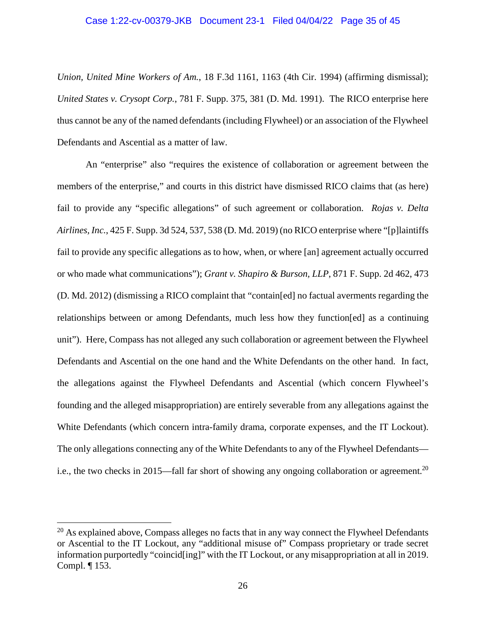#### Case 1:22-cv-00379-JKB Document 23-1 Filed 04/04/22 Page 35 of 45

<span id="page-34-2"></span>*Union, United Mine Workers of Am.*, 18 F.3d 1161, 1163 (4th Cir. 1994) (affirming dismissal); *United States v. Crysopt Corp.*, 781 F. Supp. 375, 381 (D. Md. 1991). The RICO enterprise here thus cannot be any of the named defendants (including Flywheel) or an association of the Flywheel Defendants and Ascential as a matter of law.

<span id="page-34-1"></span><span id="page-34-0"></span>An "enterprise" also "requires the existence of collaboration or agreement between the members of the enterprise," and courts in this district have dismissed RICO claims that (as here) fail to provide any "specific allegations" of such agreement or collaboration. *Rojas v. Delta Airlines, Inc.*, 425 F. Supp. 3d 524, 537, 538 (D. Md. 2019) (no RICO enterprise where "[p]laintiffs fail to provide any specific allegations as to how, when, or where [an] agreement actually occurred or who made what communications"); *Grant v. Shapiro & Burson, LLP*, 871 F. Supp. 2d 462, 473 (D. Md. 2012) (dismissing a RICO complaint that "contain[ed] no factual averments regarding the relationships between or among Defendants, much less how they function[ed] as a continuing unit"). Here, Compass has not alleged any such collaboration or agreement between the Flywheel Defendants and Ascential on the one hand and the White Defendants on the other hand. In fact, the allegations against the Flywheel Defendants and Ascential (which concern Flywheel's founding and the alleged misappropriation) are entirely severable from any allegations against the White Defendants (which concern intra-family drama, corporate expenses, and the IT Lockout). The only allegations connecting any of the White Defendants to any of the Flywheel Defendants i.e., the two checks in 2015—fall far short of showing any ongoing collaboration or agreement.<sup>20</sup>

 $20$  As explained above, Compass alleges no facts that in any way connect the Flywheel Defendants or Ascential to the IT Lockout, any "additional misuse of" Compass proprietary or trade secret information purportedly "coincid[ing]" with the IT Lockout, or any misappropriation at all in 2019. Compl. ¶ 153.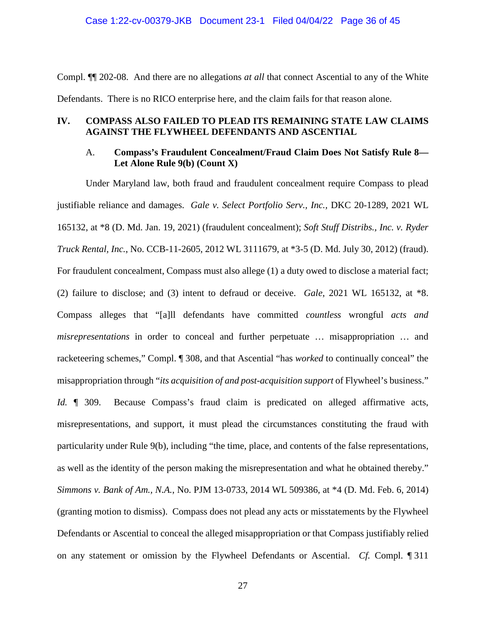Compl. ¶¶ 202-08. And there are no allegations *at all* that connect Ascential to any of the White Defendants. There is no RICO enterprise here, and the claim fails for that reason alone.

# <span id="page-35-0"></span>**IV. COMPASS ALSO FAILED TO PLEAD ITS REMAINING STATE LAW CLAIMS AGAINST THE FLYWHEEL DEFENDANTS AND ASCENTIAL**

# <span id="page-35-6"></span><span id="page-35-5"></span><span id="page-35-4"></span><span id="page-35-2"></span><span id="page-35-1"></span>A. **Compass's Fraudulent Concealment/Fraud Claim Does Not Satisfy Rule 8— Let Alone Rule 9(b) (Count X)**

Under Maryland law, both fraud and fraudulent concealment require Compass to plead justifiable reliance and damages. *Gale v. Select Portfolio Serv., Inc.,* DKC 20-1289, 2021 WL 165132, at \*8 (D. Md. Jan. 19, 2021) (fraudulent concealment); *Soft Stuff Distribs., Inc. v. Ryder Truck Rental, Inc.*, No. CCB-11-2605, 2012 WL 3111679, at \*3-5 (D. Md. July 30, 2012) (fraud). For fraudulent concealment, Compass must also allege (1) a duty owed to disclose a material fact; (2) failure to disclose; and (3) intent to defraud or deceive. *Gale*, 2021 WL 165132, at \*8. Compass alleges that "[a]ll defendants have committed *countless* wrongful *acts and misrepresentations* in order to conceal and further perpetuate … misappropriation … and racketeering schemes," Compl. ¶ 308, and that Ascential "has *worked* to continually conceal" the misappropriation through "*its acquisition of and post-acquisition support* of Flywheel's business."

<span id="page-35-3"></span>*Id.*  $\parallel$  309. Because Compass's fraud claim is predicated on alleged affirmative acts, misrepresentations, and support, it must plead the circumstances constituting the fraud with particularity under Rule 9(b), including "the time, place, and contents of the false representations, as well as the identity of the person making the misrepresentation and what he obtained thereby." *Simmons v. Bank of Am., N.A.*, No. PJM 13-0733, 2014 WL 509386, at \*4 (D. Md. Feb. 6, 2014) (granting motion to dismiss). Compass does not plead any acts or misstatements by the Flywheel Defendants or Ascential to conceal the alleged misappropriation or that Compass justifiably relied on any statement or omission by the Flywheel Defendants or Ascential. *Cf.* Compl. ¶ 311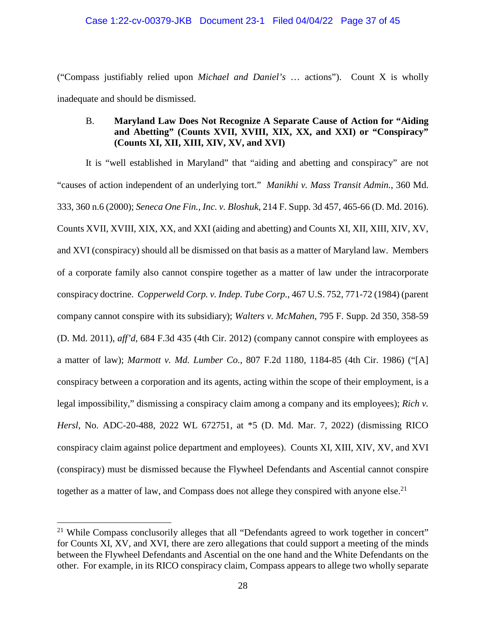("Compass justifiably relied upon *Michael and Daniel's* … actions"). Count X is wholly inadequate and should be dismissed.

# <span id="page-36-2"></span><span id="page-36-0"></span>B. **Maryland Law Does Not Recognize A Separate Cause of Action for "Aiding and Abetting" (Counts XVII, XVIII, XIX, XX, and XXI) or "Conspiracy" (Counts XI, XII, XIII, XIV, XV, and XVI)**

<span id="page-36-6"></span><span id="page-36-5"></span><span id="page-36-1"></span>It is "well established in Maryland" that "aiding and abetting and conspiracy" are not "causes of action independent of an underlying tort." *Manikhi v. Mass Transit Admin.*, 360 Md. 333, 360 n.6 (2000); *Seneca One Fin., Inc. v. Bloshuk*, 214 F. Supp. 3d 457, 465-66 (D. Md. 2016). Counts XVII, XVIII, XIX, XX, and XXI (aiding and abetting) and Counts XI, XII, XIII, XIV, XV, and XVI (conspiracy) should all be dismissed on that basis as a matter of Maryland law. Members of a corporate family also cannot conspire together as a matter of law under the intracorporate conspiracy doctrine. *Copperweld Corp. v. Indep. Tube Corp.*, 467 U.S. 752, 771-72 (1984) (parent company cannot conspire with its subsidiary); *Walters v. McMahen*, 795 F. Supp. 2d 350, 358-59 (D. Md. 2011), *aff'd*, 684 F.3d 435 (4th Cir. 2012) (company cannot conspire with employees as a matter of law); *Marmott v. Md. Lumber Co.*, 807 F.2d 1180, 1184-85 (4th Cir. 1986) ("[A] conspiracy between a corporation and its agents, acting within the scope of their employment, is a legal impossibility," dismissing a conspiracy claim among a company and its employees); *Rich v. Hersl*, No. ADC-20-488, 2022 WL 672751, at \*5 (D. Md. Mar. 7, 2022) (dismissing RICO conspiracy claim against police department and employees). Counts XI, XIII, XIV, XV, and XVI (conspiracy) must be dismissed because the Flywheel Defendants and Ascential cannot conspire together as a matter of law, and Compass does not allege they conspired with anyone else.<sup>21</sup>

<span id="page-36-4"></span><span id="page-36-3"></span><sup>&</sup>lt;sup>21</sup> While Compass conclusorily alleges that all "Defendants agreed to work together in concert" for Counts XI, XV, and XVI, there are zero allegations that could support a meeting of the minds between the Flywheel Defendants and Ascential on the one hand and the White Defendants on the other. For example, in its RICO conspiracy claim, Compass appears to allege two wholly separate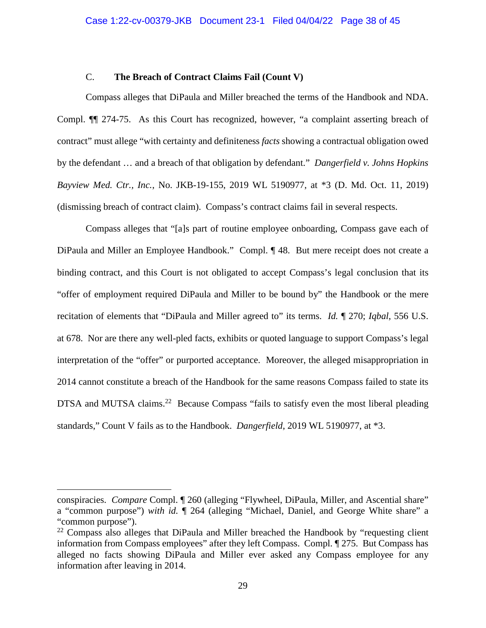### <span id="page-37-2"></span>C. **The Breach of Contract Claims Fail (Count V)**

<span id="page-37-0"></span>Compass alleges that DiPaula and Miller breached the terms of the Handbook and NDA. Compl. ¶¶ 274-75. As this Court has recognized, however, "a complaint asserting breach of contract" must allege "with certainty and definiteness *facts* showing a contractual obligation owed by the defendant … and a breach of that obligation by defendant." *Dangerfield v. Johns Hopkins Bayview Med. Ctr., Inc.*, No. JKB-19-155, 2019 WL 5190977, at \*3 (D. Md. Oct. 11, 2019) (dismissing breach of contract claim). Compass's contract claims fail in several respects.

<span id="page-37-1"></span>Compass alleges that "[a]s part of routine employee onboarding, Compass gave each of DiPaula and Miller an Employee Handbook." Compl. ¶ 48. But mere receipt does not create a binding contract, and this Court is not obligated to accept Compass's legal conclusion that its "offer of employment required DiPaula and Miller to be bound by" the Handbook or the mere recitation of elements that "DiPaula and Miller agreed to" its terms. *Id.* ¶ 270; *Iqbal*, 556 U.S. at 678. Nor are there any well-pled facts, exhibits or quoted language to support Compass's legal interpretation of the "offer" or purported acceptance. Moreover, the alleged misappropriation in 2014 cannot constitute a breach of the Handbook for the same reasons Compass failed to state its DTSA and MUTSA claims.<sup>22</sup> Because Compass "fails to satisfy even the most liberal pleading standards," Count V fails as to the Handbook. *Dangerfield*, 2019 WL 5190977, at \*3.

conspiracies. *Compare* Compl. ¶ 260 (alleging "Flywheel, DiPaula, Miller, and Ascential share" a "common purpose") *with id.* ¶ 264 (alleging "Michael, Daniel, and George White share" a "common purpose").

 $22$  Compass also alleges that DiPaula and Miller breached the Handbook by "requesting client information from Compass employees" after they left Compass. Compl. ¶ 275. But Compass has alleged no facts showing DiPaula and Miller ever asked any Compass employee for any information after leaving in 2014.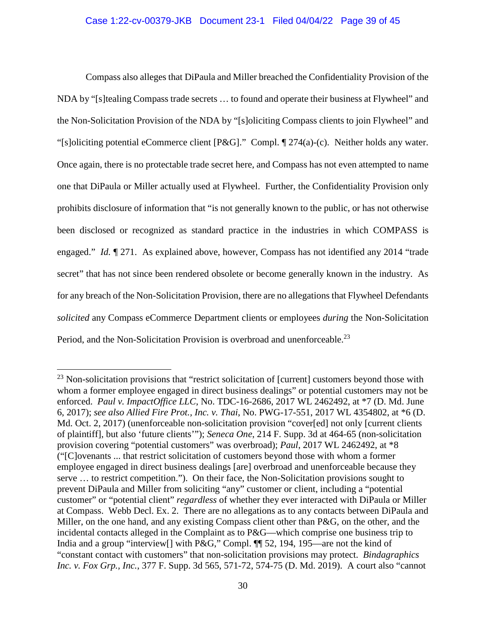Compass also alleges that DiPaula and Miller breached the Confidentiality Provision of the NDA by "[s]tealing Compass trade secrets … to found and operate their business at Flywheel" and the Non-Solicitation Provision of the NDA by "[s]oliciting Compass clients to join Flywheel" and "[s]oliciting potential eCommerce client [P&G]." Compl. ¶ 274(a)-(c). Neither holds any water. Once again, there is no protectable trade secret here, and Compass has not even attempted to name one that DiPaula or Miller actually used at Flywheel. Further, the Confidentiality Provision only prohibits disclosure of information that "is not generally known to the public, or has not otherwise been disclosed or recognized as standard practice in the industries in which COMPASS is engaged." *Id.* ¶ 271. As explained above, however, Compass has not identified any 2014 "trade secret" that has not since been rendered obsolete or become generally known in the industry. As for any breach of the Non-Solicitation Provision, there are no allegations that Flywheel Defendants *solicited* any Compass eCommerce Department clients or employees *during* the Non-Solicitation Period, and the Non-Solicitation Provision is overbroad and unenforceable.<sup>23</sup>

<span id="page-38-3"></span><span id="page-38-2"></span><span id="page-38-1"></span><span id="page-38-0"></span> $23$  Non-solicitation provisions that "restrict solicitation of [current] customers beyond those with whom a former employee engaged in direct business dealings" or potential customers may not be enforced. *Paul v. ImpactOffice LLC*, No. TDC-16-2686, 2017 WL 2462492, at \*7 (D. Md. June 6, 2017); *see also Allied Fire Prot., Inc. v. Thai*, No. PWG-17-551, 2017 WL 4354802, at \*6 (D. Md. Oct. 2, 2017) (unenforceable non-solicitation provision "cover[ed] not only [current clients of plaintiff], but also 'future clients'"); *Seneca One*, 214 F. Supp. 3d at 464-65 (non-solicitation provision covering "potential customers" was overbroad); *Paul*, 2017 WL 2462492, at \*8 ("[C]ovenants ... that restrict solicitation of customers beyond those with whom a former employee engaged in direct business dealings [are] overbroad and unenforceable because they serve … to restrict competition."). On their face, the Non-Solicitation provisions sought to prevent DiPaula and Miller from soliciting "any" customer or client, including a "potential customer" or "potential client" *regardless* of whether they ever interacted with DiPaula or Miller at Compass. Webb Decl. Ex. 2. There are no allegations as to any contacts between DiPaula and Miller, on the one hand, and any existing Compass client other than P&G, on the other, and the incidental contacts alleged in the Complaint as to P&G—which comprise one business trip to India and a group "interview[] with P&G," Compl.  $\P$  52, 194, 195—are not the kind of "constant contact with customers" that non-solicitation provisions may protect. *Bindagraphics Inc. v. Fox Grp., Inc.*, 377 F. Supp. 3d 565, 571-72, 574-75 (D. Md. 2019). A court also "cannot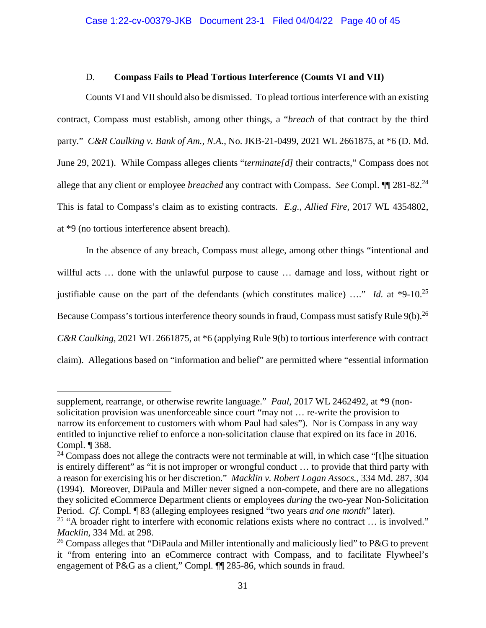# D. **Compass Fails to Plead Tortious Interference (Counts VI and VII)**

<span id="page-39-2"></span><span id="page-39-0"></span>Counts VI and VII should also be dismissed. To plead tortious interference with an existing contract, Compass must establish, among other things, a "*breach* of that contract by the third party." *C&R Caulking v. Bank of Am., N.A.*, No. JKB-21-0499, 2021 WL 2661875, at \*6 (D. Md. June 29, 2021). While Compass alleges clients "*terminate[d]* their contracts," Compass does not allege that any client or employee *breached* any contract with Compass. *See* Compl. ¶¶ 281-82.<sup>24</sup> This is fatal to Compass's claim as to existing contracts. *E.g.*, *Allied Fire*, 2017 WL 4354802, at \*9 (no tortious interference absent breach).

<span id="page-39-5"></span><span id="page-39-1"></span>In the absence of any breach, Compass must allege, among other things "intentional and willful acts ... done with the unlawful purpose to cause ... damage and loss, without right or justifiable cause on the part of the defendants (which constitutes malice) …." *Id.* at \*9-10.<sup>25</sup> Because Compass's tortious interference theory sounds in fraud, Compass must satisfy Rule 9(b).<sup>26</sup> *C&R Caulking*, 2021 WL 2661875, at \*6 (applying Rule 9(b) to tortious interference with contract claim). Allegations based on "information and belief" are permitted where "essential information

<span id="page-39-4"></span>supplement, rearrange, or otherwise rewrite language." *Paul*, 2017 WL 2462492, at \*9 (nonsolicitation provision was unenforceable since court "may not … re-write the provision to narrow its enforcement to customers with whom Paul had sales"). Nor is Compass in any way entitled to injunctive relief to enforce a non-solicitation clause that expired on its face in 2016. Compl. ¶ 368.

<span id="page-39-3"></span><sup>&</sup>lt;sup>24</sup> Compass does not allege the contracts were not terminable at will, in which case "[t]he situation is entirely different" as "it is not improper or wrongful conduct … to provide that third party with a reason for exercising his or her discretion." *Macklin v. Robert Logan Assocs.*, 334 Md. 287, 304 (1994). Moreover, DiPaula and Miller never signed a non-compete, and there are no allegations they solicited eCommerce Department clients or employees *during* the two-year Non-Solicitation Period. *Cf.* Compl. ¶ 83 (alleging employees resigned "two years *and one month*" later).

<sup>&</sup>lt;sup>25</sup> "A broader right to interfere with economic relations exists where no contract ... is involved." *Macklin*, 334 Md. at 298.

<sup>&</sup>lt;sup>26</sup> Compass alleges that "DiPaula and Miller intentionally and maliciously lied" to P&G to prevent it "from entering into an eCommerce contract with Compass, and to facilitate Flywheel's engagement of P&G as a client," Compl. ¶¶ 285-86, which sounds in fraud.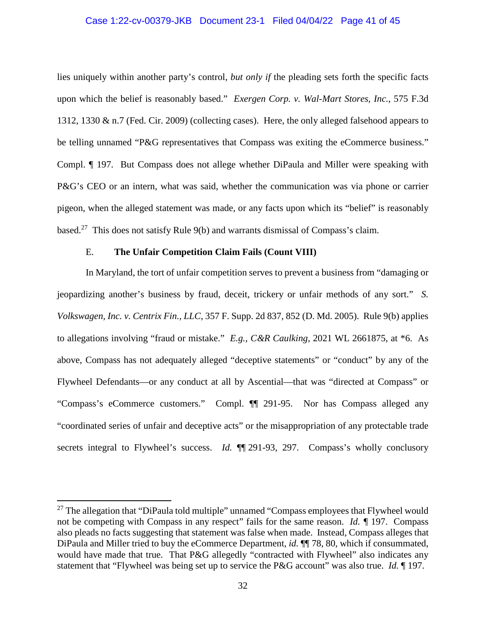#### <span id="page-40-2"></span>Case 1:22-cv-00379-JKB Document 23-1 Filed 04/04/22 Page 41 of 45

lies uniquely within another party's control, *but only if* the pleading sets forth the specific facts upon which the belief is reasonably based." *Exergen Corp. v. Wal-Mart Stores, Inc.*, 575 F.3d 1312, 1330 & n.7 (Fed. Cir. 2009) (collecting cases). Here, the only alleged falsehood appears to be telling unnamed "P&G representatives that Compass was exiting the eCommerce business." Compl. ¶ 197. But Compass does not allege whether DiPaula and Miller were speaking with P&G's CEO or an intern, what was said, whether the communication was via phone or carrier pigeon, when the alleged statement was made, or any facts upon which its "belief" is reasonably based.<sup>27</sup> This does not satisfy Rule 9(b) and warrants dismissal of Compass's claim.

#### <span id="page-40-4"></span><span id="page-40-1"></span>E. **The Unfair Competition Claim Fails (Count VIII)**

<span id="page-40-3"></span><span id="page-40-0"></span>In Maryland, the tort of unfair competition serves to prevent a business from "damaging or jeopardizing another's business by fraud, deceit, trickery or unfair methods of any sort." *S. Volkswagen, Inc. v. Centrix Fin., LLC*, 357 F. Supp. 2d 837, 852 (D. Md. 2005). Rule 9(b) applies to allegations involving "fraud or mistake." *E.g.*, *C&R Caulking*, 2021 WL 2661875, at \*6. As above, Compass has not adequately alleged "deceptive statements" or "conduct" by any of the Flywheel Defendants—or any conduct at all by Ascential—that was "directed at Compass" or "Compass's eCommerce customers." Compl. ¶¶ 291-95. Nor has Compass alleged any "coordinated series of unfair and deceptive acts" or the misappropriation of any protectable trade secrets integral to Flywheel's success. *Id.* **[1**] 291-93, 297. Compass's wholly conclusory

 $27$  The allegation that "DiPaula told multiple" unnamed "Compass employees that Flywheel would not be competing with Compass in any respect" fails for the same reason. *Id. ¶* 197. Compass also pleads no facts suggesting that statement was false when made. Instead, Compass alleges that DiPaula and Miller tried to buy the eCommerce Department, *id.* ¶¶ 78, 80, which if consummated, would have made that true. That P&G allegedly "contracted with Flywheel" also indicates any statement that "Flywheel was being set up to service the P&G account" was also true. *Id.* ¶ 197.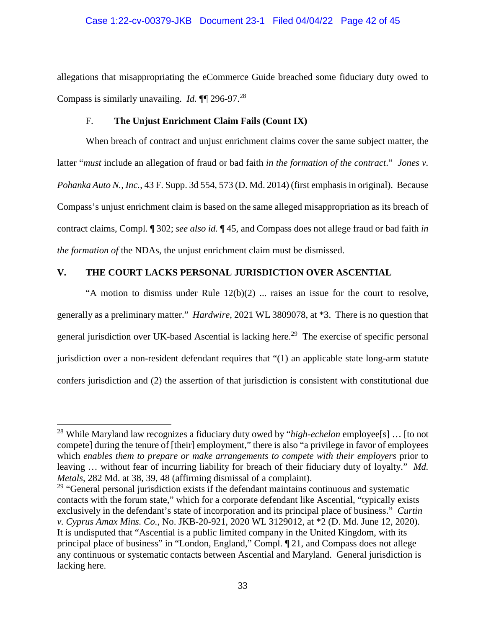### Case 1:22-cv-00379-JKB Document 23-1 Filed 04/04/22 Page 42 of 45

allegations that misappropriating the eCommerce Guide breached some fiduciary duty owed to Compass is similarly unavailing. *Id.* ¶¶ 296-97.<sup>28</sup>

### <span id="page-41-3"></span>F. **The Unjust Enrichment Claim Fails (Count IX)**

<span id="page-41-0"></span>When breach of contract and unjust enrichment claims cover the same subject matter, the latter "*must* include an allegation of fraud or bad faith *in the formation of the contract*." *Jones v. Pohanka Auto N., Inc.*, 43 F. Supp. 3d 554, 573 (D. Md. 2014) (first emphasis in original). Because Compass's unjust enrichment claim is based on the same alleged misappropriation as its breach of contract claims, Compl. ¶ 302; *see also id.* ¶ 45, and Compass does not allege fraud or bad faith *in the formation of* the NDAs, the unjust enrichment claim must be dismissed.

# <span id="page-41-1"></span>**V. THE COURT LACKS PERSONAL JURISDICTION OVER ASCENTIAL**

<span id="page-41-5"></span>"A motion to dismiss under Rule  $12(b)(2)$  ... raises an issue for the court to resolve, generally as a preliminary matter." *Hardwire*, 2021 WL 3809078, at \*3. There is no question that general jurisdiction over UK-based Ascential is lacking here.<sup>29</sup> The exercise of specific personal jurisdiction over a non-resident defendant requires that "(1) an applicable state long-arm statute confers jurisdiction and (2) the assertion of that jurisdiction is consistent with constitutional due

<sup>28</sup> While Maryland law recognizes a fiduciary duty owed by "*high-echelon* employee[s] … [to not compete] during the tenure of [their] employment," there is also "a privilege in favor of employees which *enables them to prepare or make arrangements to compete with their employers* prior to leaving … without fear of incurring liability for breach of their fiduciary duty of loyalty." *Md. Metals*, 282 Md. at 38, 39, 48 (affirming dismissal of a complaint).

<span id="page-41-4"></span><span id="page-41-2"></span> $29$  "General personal jurisdiction exists if the defendant maintains continuous and systematic contacts with the forum state," which for a corporate defendant like Ascential, "typically exists exclusively in the defendant's state of incorporation and its principal place of business." *Curtin v. Cyprus Amax Mins. Co.*, No. JKB-20-921, 2020 WL 3129012, at \*2 (D. Md. June 12, 2020). It is undisputed that "Ascential is a public limited company in the United Kingdom, with its principal place of business" in "London, England," Compl. ¶ 21, and Compass does not allege any continuous or systematic contacts between Ascential and Maryland. General jurisdiction is lacking here.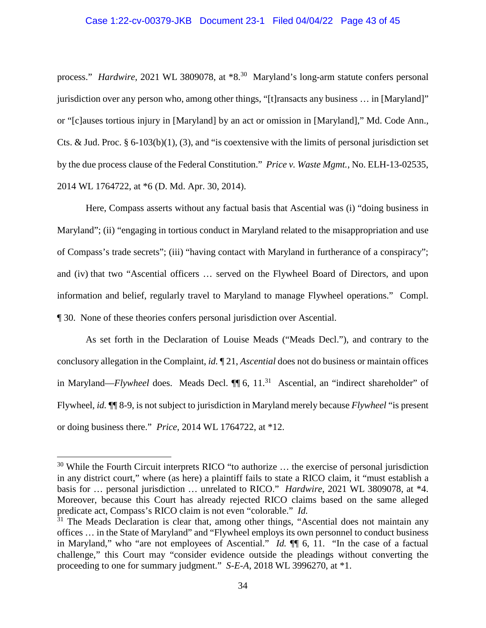#### <span id="page-42-2"></span>Case 1:22-cv-00379-JKB Document 23-1 Filed 04/04/22 Page 43 of 45

process." *Hardwire*, 2021 WL 3809078, at \*8.<sup>30</sup> Maryland's long-arm statute confers personal jurisdiction over any person who, among other things, "[t]ransacts any business … in [Maryland]" or "[c]auses tortious injury in [Maryland] by an act or omission in [Maryland]," Md. Code Ann., Cts. & Jud. Proc. § 6-103(b)(1), (3), and "is coextensive with the limits of personal jurisdiction set by the due process clause of the Federal Constitution." *Price v. Waste Mgmt.*, No. ELH-13-02535, 2014 WL 1764722, at \*6 (D. Md. Apr. 30, 2014).

<span id="page-42-0"></span>Here, Compass asserts without any factual basis that Ascential was (i) "doing business in Maryland"; (ii) "engaging in tortious conduct in Maryland related to the misappropriation and use of Compass's trade secrets"; (iii) "having contact with Maryland in furtherance of a conspiracy"; and (iv) that two "Ascential officers … served on the Flywheel Board of Directors, and upon information and belief, regularly travel to Maryland to manage Flywheel operations." Compl. ¶ 30. None of these theories confers personal jurisdiction over Ascential.

As set forth in the Declaration of Louise Meads ("Meads Decl."), and contrary to the conclusory allegation in the Complaint, *id.* ¶ 21, *Ascential* does not do business or maintain offices in Maryland—*Flywheel* does. Meads Decl.  $\P$  6, 11.<sup>31</sup> Ascential, an "indirect shareholder" of Flywheel, *id.* ¶¶ 8-9, is not subject to jurisdiction in Maryland merely because *Flywheel* "is present or doing business there." *Price*, 2014 WL 1764722, at \*12.

<sup>&</sup>lt;sup>30</sup> While the Fourth Circuit interprets RICO "to authorize ... the exercise of personal jurisdiction in any district court," where (as here) a plaintiff fails to state a RICO claim, it "must establish a basis for … personal jurisdiction … unrelated to RICO." *Hardwire*, 2021 WL 3809078, at \*4. Moreover, because this Court has already rejected RICO claims based on the same alleged predicate act, Compass's RICO claim is not even "colorable." *Id.*

<span id="page-42-1"></span> $31$  The Meads Declaration is clear that, among other things, "Ascential does not maintain any offices … in the State of Maryland" and "Flywheel employs its own personnel to conduct business in Maryland," who "are not employees of Ascential." *Id.* ¶¶ 6, 11. "In the case of a factual challenge," this Court may "consider evidence outside the pleadings without converting the proceeding to one for summary judgment." *S-E-A*, 2018 WL 3996270, at \*1.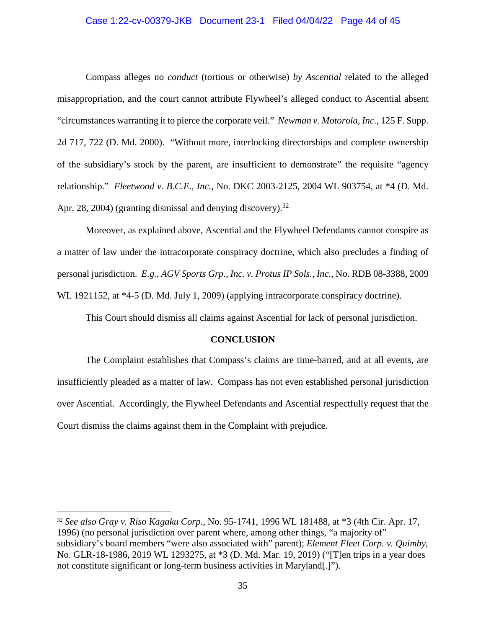#### <span id="page-43-5"></span>Case 1:22-cv-00379-JKB Document 23-1 Filed 04/04/22 Page 44 of 45

Compass alleges no *conduct* (tortious or otherwise) *by Ascential* related to the alleged misappropriation, and the court cannot attribute Flywheel's alleged conduct to Ascential absent "circumstances warranting it to pierce the corporate veil." *Newman v. Motorola, Inc.*, 125 F. Supp. 2d 717, 722 (D. Md. 2000). "Without more, interlocking directorships and complete ownership of the subsidiary's stock by the parent, are insufficient to demonstrate" the requisite "agency relationship." *Fleetwood v. B.C.E., Inc.*, No. DKC 2003-2125, 2004 WL 903754, at \*4 (D. Md. Apr. 28, 2004) (granting dismissal and denying discovery).<sup>32</sup>

<span id="page-43-3"></span>Moreover, as explained above, Ascential and the Flywheel Defendants cannot conspire as a matter of law under the intracorporate conspiracy doctrine, which also precludes a finding of personal jurisdiction. *E.g.*, *AGV Sports Grp., Inc. v. Protus IP Sols., Inc.*, No. RDB 08-3388, 2009 WL 1921152, at  $*4-5$  (D. Md. July 1, 2009) (applying intracorporate conspiracy doctrine).

This Court should dismiss all claims against Ascential for lack of personal jurisdiction.

#### <span id="page-43-2"></span><span id="page-43-1"></span>**CONCLUSION**

<span id="page-43-0"></span>The Complaint establishes that Compass's claims are time-barred, and at all events, are insufficiently pleaded as a matter of law. Compass has not even established personal jurisdiction over Ascential. Accordingly, the Flywheel Defendants and Ascential respectfully request that the Court dismiss the claims against them in the Complaint with prejudice.

<span id="page-43-4"></span><sup>32</sup> *See also Gray v. Riso Kagaku Corp.*, No. 95-1741, 1996 WL 181488, at \*3 (4th Cir. Apr. 17, 1996) (no personal jurisdiction over parent where, among other things, "a majority of" subsidiary's board members "were also associated with" parent); *Element Fleet Corp. v. Quimby*, No. GLR-18-1986, 2019 WL 1293275, at \*3 (D. Md. Mar. 19, 2019) ("[T]en trips in a year does not constitute significant or long-term business activities in Maryland[.]").